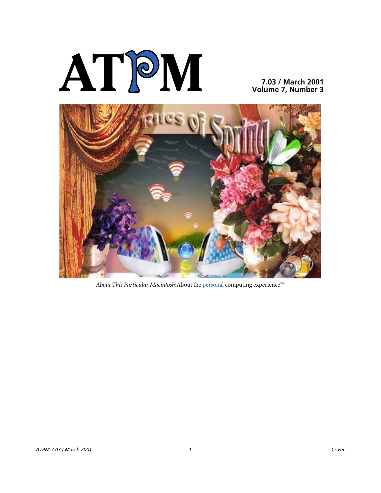

**7.03 / March 2001 Volume 7, Number 3**



*About This Particular Macintosh*:About the personal computing experience™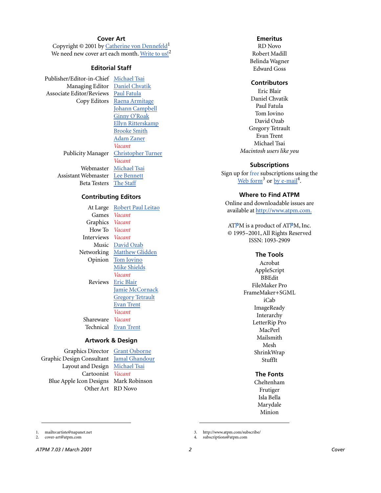## **Cover Art**

Copyright  $\odot$  2001 by [Catherine von Dennefeld](mailto:artiste@napanet.net)<sup>1</sup> We need new cover art each month. [Write to us!](mailto:cover-art@atpm.com)<sup>2</sup>

## **Editorial Staff**

Publisher/Editor-in-Chief [Michael Tsai](mailto:mtsai@atpm.com) Managing Editor Daniel Chyatik Associate Editor/Reviews [Paul Fatula](mailto:pfatula@atpm.com)

Copy Editors [Raena Armitage](mailto:rarmitage@atpm.com) [Johann Campbell](mailto:jcampbell@atpm.com) [Ginny O'Roak](mailto:goroak@atpm.com) [Ellyn Ritterskamp](mailto:eritterskamp@atpm.com) [Brooke Smith](mailto:bsmith@atpm.com) [Adam Zaner](mailto:azaner@atpm.com) *Vacant* Publicity Manager [Christopher Turner](mailto:cturner@atpm.com) *Vacant* Webmaster [Michael Tsai](mailto:mtsai@atpm.com)

Assistant Webmaster [Lee Bennett](mailto:lbennett@atpm.com) Beta Testers [The Staff](mailto:editor@atpm.com)

## **Contributing Editors**

| At Large   | Robert Paul Leitao      |
|------------|-------------------------|
| Games      | <i>Vacant</i>           |
| Graphics   | <i>Vacant</i>           |
| How To     | Vacant                  |
| Interviews | Vacant                  |
| Music      | David Ozab              |
| Networking | <b>Matthew Glidden</b>  |
| Opinion    | Tom Iovino              |
|            | Mike Shields            |
|            | Vacant                  |
| Reviews    | Eric Blair              |
|            | Jamie McCornack         |
|            | <b>Gregory Tetrault</b> |
|            | <b>Evan Trent</b>       |
|            | Vacant                  |
| Shareware  | <i>Vacant</i>           |
| Technical  | Evan Trent              |
|            |                         |

#### **Artwork & Design**

Graphics Director [Grant Osborne](mailto:gosborne@atpm.com) Graphic Design Consultant [Jamal Ghandour](mailto:jghandour@atpm.com) Layout and Design [Michael Tsai](mailto:mtsai@atpm.com) Cartoonist *Vacant* Blue Apple Icon Designs Mark Robinson Other Art RD Novo

#### **Emeritus**

RD Novo Robert Madill Belinda Wagner Edward Goss

#### **Contributors**

Eric Blair Daniel Chvatik Paul Fatula Tom Iovino David Ozab Gregory Tetrault Evan Trent Michael Tsai *Macintosh users like you*

#### **Subscriptions**

Sign up for free subscriptions using the [Web form](http://www.atpm.com/subscribe/)<sup>3</sup> or [by e-mail](mailto:subscriptions@atpm.com)<sup>4</sup>.

### **Where to Find ATPM**

Online and downloadable issues are available at [http://www.atpm.com.](http://www.atpm.com)

ATPM is a product of ATPM, Inc. © 1995–2001, All Rights Reserved ISSN: 1093-2909

#### **The Tools**

Acrobat AppleScript BBEdit FileMaker Pro FrameMaker+SGML iCab **ImageReady** Interarchy LetterRip Pro MacPerl Mailsmith Mesh ShrinkWrap StuffIt

#### **The Fonts**

Cheltenham Frutiger Isla Bella Marydale Minion

3. http://www.atpm.com/subscribe/<br>4. subscriptions@atpm.com

1. mailto:artiste@napanet.net 2. cover-art@atpm.com

subscriptions@atpm.com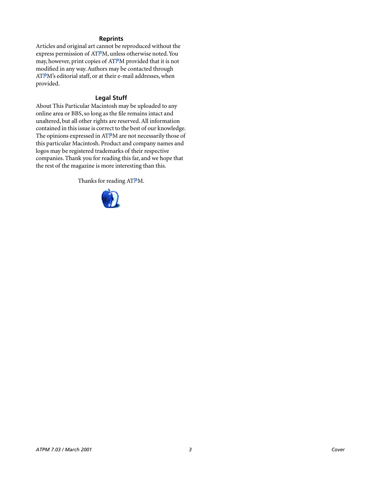## **Reprints**

Articles and original art cannot be reproduced without the express permission of ATPM, unless otherwise noted. You may, however, print copies of ATPM provided that it is not modified in any way. Authors may be contacted through ATPM's editorial staff, or at their e-mail addresses, when provided.

## **Legal Stuff**

About This Particular Macintosh may be uploaded to any online area or BBS, so long as the file remains intact and unaltered, but all other rights are reserved. All information contained in this issue is correct to the best of our knowledge. The opinions expressed in ATPM are not necessarily those of this particular Macintosh. Product and company names and logos may be registered trademarks of their respective companies. Thank you for reading this far, and we hope that the rest of the magazine is more interesting than this.

Thanks for reading ATPM.

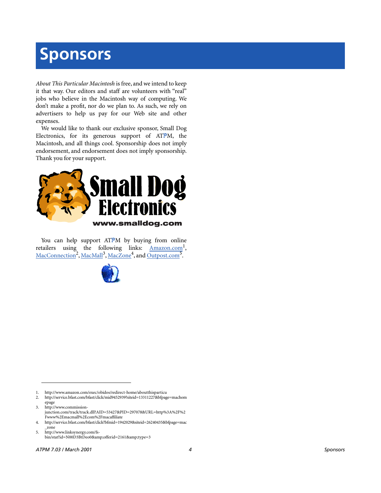# **Sponsors**

*About This Particular Macintosh* is free, and we intend to keep it that way. Our editors and staff are volunteers with "real" jobs who believe in the Macintosh way of computing. We don't make a profit, nor do we plan to. As such, we rely on advertisers to help us pay for our Web site and other expenses.

We would like to thank our exclusive sponsor, Small Dog Electronics, for its generous support of ATPM, the Macintosh, and all things cool. Sponsorship does not imply endorsement, and endorsement does not imply sponsorship. Thank you for your support.



You can help support ATPM by buying from online retailers using the following links: Amazon.com<sup>1</sup>, [MacConnection](http://service.bfast.com/bfast/click/mid9452939?siteid=13311227&bfpage=machomepage)<sup>2</sup>, [MacMall](http://www.commission-junction.com/track/track.dll?AID=53427&PID=297078&URL=http%3A%2F%2Fwww%2Emacmall%2Ecom%2Fmacaffiliate)<sup>3</sup>, [MacZone](http://service.bfast.com/bfast/click?bfmid=1942029&siteid=26240435&bfpage=mac_zone)<sup>4</sup>, and Outpost.com<sup>5</sup>.



1. http://www.amazon.com/exec/obidos/redirect-home/aboutthisparticu

2. http://service.bfast.com/bfast/click/mid9452939?siteid=13311227&bfpage=machom epage

3. http://www.commissionjunction.com/track/track.dll?AID=53427&PID=297078&URL=http%3A%2F%2 Fwww%2Emacmall%2Ecom%2Fmacaffiliate

4. http://service.bfast.com/bfast/click?bfmid=1942029&siteid=26240435&bfpage=mac \_zone

5. http://www.linksynergy.com/fsbin/stat?id=N00D3BtDeo0&offerid=2161&type=3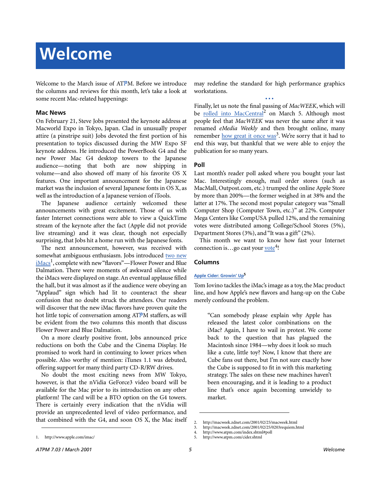Welcome to the March issue of ATPM. Before we introduce the columns and reviews for this month, let's take a look at some recent Mac-related happenings:

## **Mac News**

On February 21, Steve Jobs presented the keynote address at Macworld Expo in Tokyo, Japan. Clad in unusually proper attire (a pinstripe suit) Jobs devoted the first portion of his presentation to topics discussed during the MW Expo SF keynote address. He introduced the PowerBook G4 and the new Power Mac G4 desktop towers to the Japanese audience—noting that both are now shipping in volume—and also showed off many of his favorite OS X features. One important announcement for the Japanese market was the inclusion of several Japanese fonts in OS X, as well as the introduction of a Japanese version of iTools.

The Japanese audience certainly welcomed these announcements with great excitement. Those of us with faster Internet connections were able to view a QuickTime stream of the keynote after the fact (Apple did not provide live streaming) and it was clear, though not especially surprising, that Jobs hit a home run with the Japanese fonts.

The next announcement, however, was received with somewhat ambiguous enthusiasm. Jobs introduced [two new](http://www.apple.com/imac/) [iMacs](http://www.apple.com/imac/)<sup>1</sup>, complete with new "flavors"—Flower Power and Blue Dalmation. There were moments of awkward silence while the iMacs were displayed on stage. An eventual applause filled the hall, but it was almost as if the audience were obeying an "Applaud" sign which had lit to counteract the shear confusion that no doubt struck the attendees. Our readers will discover that the new iMac flavors have proven quite the hot little topic of conversation among ATPM staffers, as will be evident from the two columns this month that discuss Flower Power and Blue Dalmation.

On a more clearly positive front, Jobs announced price reductions on both the Cube and the Cinema Display. He promised to work hard in continuing to lower prices when possible. Also worthy of mention: iTunes 1.1 was debuted, offering support for many third party CD-R/RW drives.

No doubt the most exciting news from MW Tokyo, however, is that the nVidia GeForce3 video board will be available for the Mac prior to its introduction on any other platform! The card will be a BTO option on the G4 towers. There is certainly every indication that the nVidia will provide an unprecedented level of video performance, and that combined with the G4, and soon OS X, the Mac itself may redefine the standard for high performance graphics workstations.

**• • •** Finally, let us note the final passing of *MacWEEK*, which will be [rolled into MacCentral](http://macweek.zdnet.com/2001/02/25/macweek.html)<sup>2</sup> on March 5. Although most people feel that *MacWEEK* was never the same after it was renamed *eMedia Weekly* and then brought online, many remember [how great it once was](http://macweek.zdnet.com/2001/02/25/0203requiem.html)<sup>3</sup>. We're sorry that it had to end this way, but thankful that we were able to enjoy the publication for so many years.

## **Poll**

Last month's reader poll asked where you bought your last Mac. Interestingly enough, mail order stores (such as MacMall, Outpost.com, etc.) trumped the online Apple Store by more than 200%—the former weighed in at 38% and the latter at 17%. The second most popular category was "Small Computer Shop (Computer Town, etc.)" at 22%. Computer Mega Centers like CompUSA pulled 12%, and the remaining votes were distributed among College/School Stores (5%), Department Stores (3%), and "It was a gift" (2%).

This month we want to know how fast your Internet connection is...go cast your <u>vote</u><sup>4</sup>!

## **Columns**

## **[Apple Cider: Growin' Up](http://www.atpm.com/cider.shtml)5**

Tom Iovino tackles the iMac's image as a toy, the Mac product line, and how Apple's new flavors and hang-up on the Cube merely confound the problem.

"Can somebody please explain why Apple has released the latest color combinations on the iMac? Again, I have to wail in protest. We come back to the question that has plagued the Macintosh since 1984—why does it look so much like a cute, little toy? Now, I know that there are Cube fans out there, but I'm not sure exactly how the Cube is supposed to fit in with this marketing strategy. The sales on these new machines haven't been encouraging, and it is leading to a product line that's once again becoming unwieldy to market.

<sup>2.</sup> http://macweek.zdnet.com/2001/02/25/macweek.html

<sup>3.</sup> http://macweek.zdnet.com/2001/02/25/0203requiem.html

<sup>4.</sup> http://www.atpm.com/index.shtml#poll

<sup>5.</sup> http://www.atpm.com/cider.shtml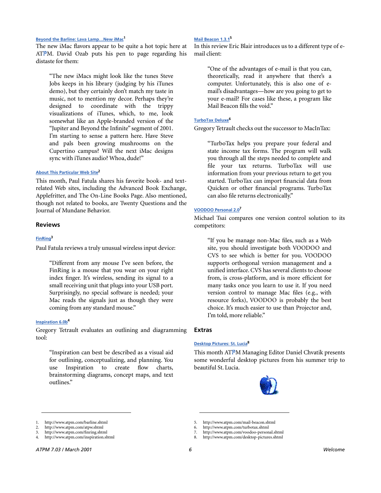#### **[Beyond the Barline: Lava Lamp…New iMac1](http://www.atpm.com/barline.shtml)**

The new iMac flavors appear to be quite a hot topic here at ATPM. David Ozab puts his pen to page regarding his distaste for them:

"The new iMacs might look like the tunes Steve Jobs keeps in his library (judging by his iTunes demo), but they certainly don't match my taste in music, not to mention my decor. Perhaps they're designed to coordinate with the trippy visualizations of iTunes, which, to me, look somewhat like an Apple-branded version of the "Jupiter and Beyond the Infinite" segment of 2001. I'm starting to sense a pattern here. Have Steve and pals been growing mushrooms on the Cupertino campus? Will the next iMac designs sync with iTunes audio? Whoa, dude!"

#### **[About This Particular Web Site2](http://www.atpm.com/atpw.shtml)**

This month, Paul Fatula shares his favorite book- and textrelated Web sites, including the Advanced Book Exchange, Applefritter, and The On-Line Books Page. Also mentioned, though not related to books, are Twenty Questions and the Journal of Mundane Behavior.

#### **Reviews**

#### **[FinRing](http://www.atpm.com/finring.shtml)3**

Paul Fatula reviews a truly unusual wireless input device:

"Different from any mouse I've seen before, the FinRing is a mouse that you wear on your right index finger. It's wireless, sending its signal to a small receiving unit that plugs into your USB port. Surprisingly, no special software is needed; your Mac reads the signals just as though they were coming from any standard mouse."

#### **[Inspiration 6.0b4](http://www.atpm.com/inspiration.shtml)**

Gregory Tetrault evaluates an outlining and diagramming tool:

"Inspiration can best be described as a visual aid for outlining, conceptualizing, and planning. You use Inspiration to create flow charts, brainstorming diagrams, concept maps, and text outlines"

#### **[Mail Beacon 1.3.1](http://www.atpm.com/mail-beacon.shtml)5**

In this review Eric Blair introduces us to a different type of email client:

"One of the advantages of e-mail is that you can, theoretically, read it anywhere that there's a computer. Unfortunately, this is also one of email's disadvantages—how are you going to get to your e-mail? For cases like these, a program like Mail Beacon fills the void."

#### **[TurboTax Deluxe6](http://www.atpm.com/turbotax.shtml)**

Gregory Tetrault checks out the successor to MacInTax:

"TurboTax helps you prepare your federal and state income tax forms. The program will walk you through all the steps needed to complete and file your tax returns. TurboTax will use information from your previous return to get you started. TurboTax can import financial data from Quicken or other financial programs. TurboTax can also file returns electronically."

#### **[VOODOO Personal 2.0](http://www.atpm.com/voodoo-personal.shtml)7**

Michael Tsai compares one version control solution to its competitors:

"If you be manage non-Mac files, such as a Web site, you should investigate both VOODOO and CVS to see which is better for you. VOODOO supports orthogonal version management and a unified interface. CVS has several clients to choose from, is cross-platform, and is more efficient for many tasks once you learn to use it. If you need version control to manage Mac files (e.g., with resource forks), VOODOO is probably the best choice. It's much easier to use than Projector and, I'm told, more reliable."

#### **Extras**

#### **[Desktop Pictures: St. Lucia8](http://www.atpm.com/desktop-pictures.shtml)**

This month ATPM Managing Editor Daniel Chvatik presents some wonderful desktop pictures from his summer trip to beautiful St. Lucia.



<sup>1.</sup> http://www.atpm.com/barline.shtml

<sup>2.</sup> http://www.atpm.com/atpw.shtml

<sup>3.</sup> http://www.atpm.com/finring.shtml

<sup>4.</sup> http://www.atpm.com/inspiration.shtml

<sup>5.</sup> http://www.atpm.com/mail-beacon.shtml 6. http://www.atpm.com/turbotax.shtml

<sup>7.</sup> http://www.atpm.com/voodoo-personal.shtml

<sup>8.</sup> http://www.atpm.com/desktop-pictures.shtml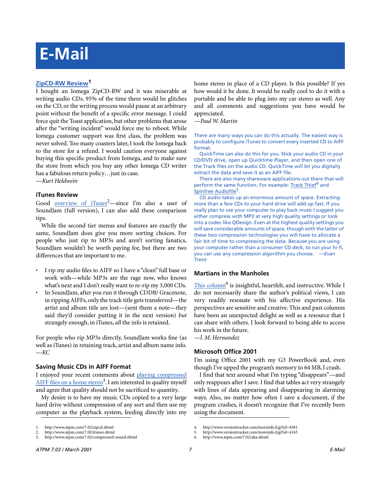# **E-Mail**

## **[ZipCD-RW Review](http://www.atpm.com/7.02/zipcd.shtml)1**

I bought an Iomega ZipCD-RW and it was miserable at writing audio CDs. 95% of the time there would be glitches on the CD, or the writing process would pause at an arbitrary point without the benefit of a specific error message. I could force quit the Toast application, but other problems that arose after the "writing incident" would force me to reboot. While Iomega customer support was first class, the problem was never solved. Too many coasters later, I took the Iomega back to the store for a refund. I would caution everyone against buying this specific product from Iomega, and to make sure the store from which you buy any other Iomega CD writer has a fabulous return policy…just in case.

*—Kurt Heldwein*

#### **iTunes Review**

Good <u>[overview of iTunes](http://www.atpm.com/7.02/itunes.shtml)</u><sup>2</sup>—since I'm also a user of SoundJam (full version), I can also add these comparison tips.

While the second tier menus and features are exactly the same, SoundJam does give you more sorting choices. For people who just rip to MP3s and aren't sorting fanatics, SoundJam wouldn't be worth paying for, but there are two differences that are important to me.

- I rip my audio files to AIFF so I have a "clean" full base or work with—while MP3s are the rage now, who knows what's next and I don't really want to re-rip my 3,000 CDs.
- In SoundJam, after you run it through CDDB/ Gracenote, in ripping AIFFs, only the track title gets transferred—the artist and album title are lost—(sent them a note—they said they'd consider putting it in the next version) *but* strangely enough, in iTunes, *all* the info is retained.

For people who rip MP3s directly, SoundJam works fine (as well as iTunes) in retaining track, artist and album name info. *—KC*

## **Saving Music CDs in AIFF Format**

I enjoyed your recent comments about [playing compressed](http://www.atpm.com/7.02/compressed-sound.shtml) AIFF files on a home stereo<sup>3</sup>. I am interested in quality myself and agree that quality should not be sacrificed to quantity.

My desire is to have my music CDs copied to a very large hard drive without compression of any sort and then use my computer as the playback system, feeding directly into my home stereo in place of a CD player. Is this possible? If yes how would it be done. It would be really cool to do it with a portable and be able to plug into my car stereo as well. Any and all comments and suggestions you have would be appreciated.

*—Paul W. Martin*

There are many ways you can do this actually. The easiest way is probably to configure iTunes to convert every inserted CD to AIFF format.

QuickTime can also do this for you. Stick your audio CD in your CD/DVD drive, open up Quicktime Player, and then open one of the Track files on the audio CD. QuickTime will let you digitally extract the data and save it as an AIFF file.

There are also many shareware applications out there that will perform the same function. For example: [Track Thief](http://www.versiontracker.com/moreinfo.fcgi?id=4581)<sup>4</sup> and [Spinfree Audiofile](http://www.versiontracker.com/moreinfo.fcgi?id=4165)<sup>5</sup>.

CD audio takes up an enormous amount of space. Extracting more than a few CDs to your hard drive will add up fast. If you really plan to use your computer to play back music I suggest you either compress with MP3 at very high quality settings or look into a codec like QDesign. Even at the highest quality settings you will save considerable amounts of space, though with the latter of these two compression technologies you will have to allocate a fair bit of time to compressing the data. Because you are using your computer rather than a consumer CD deck, to run your hi-fi, you can use any compression algorithm you choose. *—Evan Trent*

#### **Martians in the Manholes**

This column<sup>6</sup> is insightful, heartfelt, and instructive. While I do not necessarily share the author's political views, I can very readily resonate with his affective experience. His perspectives are sensitive and creative. This and past columns have been an unexpected delight as well as a resource that I can share with others. I look forward to being able to access his work in the future.

*—l. M. Hernandez*

#### **Microsoft Office 2001**

I'm using Office 2001 with my G3 PowerBook and, even though I've upped the program's memory to 64 MB, I crash.

I find that text around what I'm typing "disappears"—and only reappears after I save. I find that tables act very strangely with lines of data appearing and disappearing in alarming ways. Also, no matter how often I save a document, if the program crashes, it doesn't recognize that I've recently been using the document.

<sup>1.</sup> http://www.atpm.com/7.02/zipcd.shtml

<sup>2.</sup> http://www.atpm.com/7.02/itunes.shtml<br>3. http://www.atpm.com/7.02/compressed-

<sup>3.</sup> http://www.atpm.com/7.02/compressed-sound.shtml

<sup>4.</sup> http://www.versiontracker.com/moreinfo.fcgi?id=4581

<sup>5.</sup> http://www.versiontracker.com/moreinfo.fcgi?id=4165

<sup>6.</sup> http://www.atpm.com/7.02/aka.shtml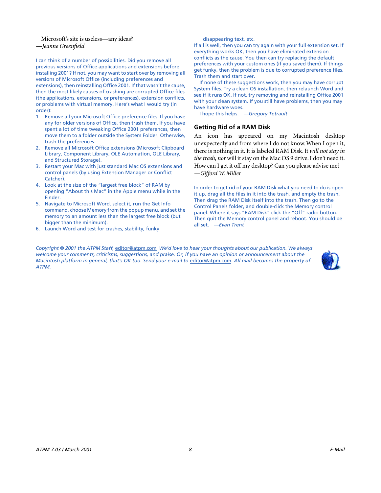Microsoft's site is useless—any ideas? *—Jeanne Greenfield*

I can think of a number of possibilities. Did you remove all previous versions of Office applications and extensions before installing 2001? If not, you may want to start over by removing all versions of Microsoft Office (including preferences and extensions), then reinstalling Office 2001. If that wasn't the cause, then the most likely causes of crashing are corrupted Office files (the applications, extensions, or preferences), extension conflicts, or problems with virtual memory. Here's what I would try (in order):

- 1. Remove all your Microsoft Office preference files. If you have any for older versions of Office, then trash them. If you have spent a lot of time tweaking Office 2001 preferences, then move them to a folder outside the System Folder. Otherwise, trash the preferences.
- 2. Remove all Microsoft Office extensions (Microsoft Clipboard Library, Component Library, OLE Automation, OLE Library, and Structured Storage).
- 3. Restart your Mac with just standard Mac OS extensions and control panels (by using Extension Manager or Conflict Catcher).
- 4. Look at the size of the "largest free block" of RAM by opening "About this Mac" in the Apple menu while in the Finder.
- 5. Navigate to Microsoft Word, select it, run the Get Info command, choose Memory from the popup menu, and set the memory to an amount less than the largest free block (but bigger than the minimum).
- 6. Launch Word and test for crashes, stability, funky

disappearing text, etc.

If all is well, then you can try again with your full extension set. If everything works OK, then you have eliminated extension conflicts as the cause. You then can try replacing the default preferences with your custom ones (if you saved them). If things get funky, then the problem is due to corrupted preference files. Trash them and start over.

If none of these suggestions work, then you may have corrupt System files. Try a clean OS installation, then relaunch Word and see if it runs OK. If not, try removing and reinstalling Office 2001 with your clean system. If you still have problems, then you may have hardware woes.

I hope this helps. *—Gregory Tetrault*

## **Getting Rid of a RAM Disk**

An icon has appeared on my Macintosh desktop unexpectedly and from where I do not know. When I open it, there is nothing in it. It is labeled RAM Disk. It *will not stay in the trash, nor* will it stay on the Mac OS 9 drive. I don't need it. How can I get it off my desktop? Can you please advise me? *—Gifford W. Miller*

In order to get rid of your RAM Disk what you need to do is open it up, drag all the files in it into the trash, and empty the trash. Then drag the RAM Disk itself into the trash. Then go to the Control Panels folder, and double-click the Memory control panel. Where it says "RAM Disk" click the "Off" radio button. Then quit the Memory control panel and reboot. You should be all set. *—Evan Trent*

*Copyright © 2001 the ATPM Staff,* [editor@atpm.com](mailto:editor@atpm.com)*. We'd love to hear your thoughts about our publication. We always welcome your comments, criticisms, suggestions, and praise. Or, if you have an opinion or announcement about the Macintosh platform in general, that's OK too. Send your e-mail to* [editor@atpm.com](mailto:editor@atpm.com)*. All mail becomes the property of ATPM.*

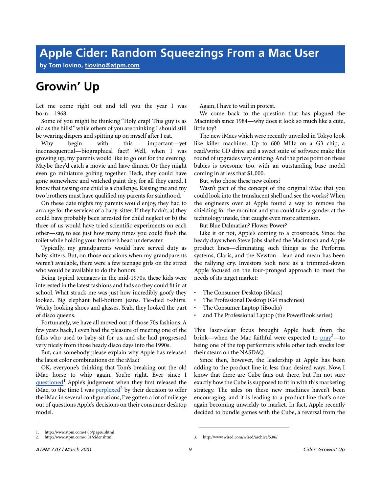**by Tom Iovino, [tiovino@atpm.com](mailto:tiovino@atpm.com)**

## **Growin' Up**

Let me come right out and tell you the year I was born—1968.

Some of you might be thinking "Holy crap! This guy is as old as the hills!" while others of you are thinking I should still be wearing diapers and spitting up on myself after I eat.

Why begin with this important—yet inconsequential—biographical fact? Well, when I was growing up, my parents would like to go out for the evening. Maybe they'd catch a movie and have dinner. Or they might even go miniature golfing together. Heck, they could have gone somewhere and watched paint dry, for all they cared. I know that raising one child is a challenge. Raising me and my two brothers must have qualified my parents for sainthood.

On these date nights my parents would enjoy, they had to arrange for the services of a baby-sitter. If they hadn't, a) they could have probably been arrested for child neglect or b) the three of us would have tried scientific experiments on each other—say, to see just how many times you could flush the toilet while holding your brother's head underwater.

Typically, my grandparents would have served duty as baby-sitters. But, on those occasions when my grandparents weren't available, there were a few teenage girls on the street who would be available to do the honors.

Being typical teenagers in the mid-1970s, these kids were interested in the latest fashions and fads so they could fit in at school. What struck me was just how incredibly goofy they looked. Big elephant bell-bottom jeans. Tie-died t-shirts. Wacky looking shoes and glasses. Yeah, they looked the part of disco queens.

Fortunately, we have all moved out of those 70s fashions. A few years back, I even had the pleasure of meeting one of the folks who used to baby-sit for us, and she had progressed very nicely from those heady disco days into the 1990s.

But, can somebody please explain why Apple has released the latest color combinations on the iMac?

OK, everyone's thinking that Tom's breaking out the old iMac horse to whip again. You're right. Ever since I questioned<sup>1</sup> Apple's judgement when they first released the iMac, to the time I was  $perplexed^2$  $perplexed^2$  by their decision to offer the iMac in several configurations, I've gotten a lot of mileage out of questions Apple's decisions on their consumer desktop model.

Again, I have to wail in protest.

We come back to the question that has plagued the Macintosh since 1984—why does it look so much like a cute, little toy?

The new iMacs which were recently unveiled in Tokyo look like killer machines. Up to 600 MHz on a G3 chip, a read/write CD drive and a sweet suite of software make this round of upgrades very enticing. And the price point on these babies is awesome too, with an outstanding base model coming in at less that \$1,000.

But, who chose these new colors?

Wasn't part of the concept of the original iMac that you could look into the translucent shell and see the works? When the engineers over at Apple found a way to remove the shielding for the monitor and you could take a gander at the technology inside, that caught even more attention.

But Blue Dalmatian? Flower Power?

Like it or not, Apple's coming to a crossroads. Since the heady days when Steve Jobs slashed the Macintosh and Apple product lines—eliminating such things as the Performa systems, Claris, and the Newton—lean and mean has been the rallying cry. Investors took note as a trimmed-down Apple focused on the four-pronged approach to meet the needs of its target market:

- The Consumer Desktop (iMacs)
- The Professional Desktop (G4 machines)
- The Consumer Laptop (iBooks)
- and The Professional Laptop (the PowerBook series)

This laser-clear focus brought Apple back from the brink—when the Mac faithful were expected to  $\text{pray}^3$  $\text{pray}^3$  $\text{pray}^3$ —to being one of the top performers while other tech stocks lost their steam on the NASDAQ.

Since then, however, the leadership at Apple has been adding to the product line in less than desired ways. Now, I know that there are Cube fans out there, but I'm not sure exactly how the Cube is supposed to fit in with this marketing strategy. The sales on these new machines haven't been encouraging, and it is leading to a product line that's once again becoming unwieldy to market. In fact, Apple recently decided to bundle games with the Cube, a reversal from the

<sup>1.</sup> http://www.atpm.com/4.06/page6.shtml<br>2. http://www.atpm.com/6.01/cider.shtml

<sup>2.</sup> http://www.atpm.com/6.01/cider.shtml 3. http://www.wired.com/wired/archive/5.06/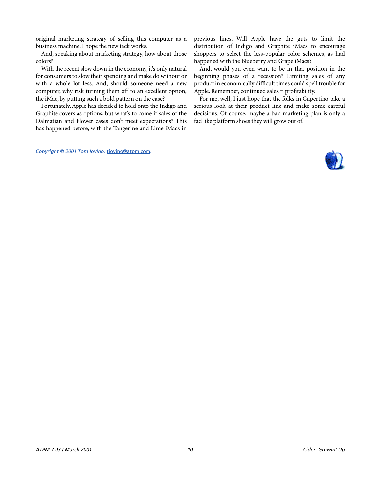original marketing strategy of selling this computer as a business machine. I hope the new tack works.

And, speaking about marketing strategy, how about those colors?

With the recent slow down in the economy, it's only natural for consumers to slow their spending and make do without or with a whole lot less. And, should someone need a new computer, why risk turning them off to an excellent option, the iMac, by putting such a bold pattern on the case?

Fortunately, Apple has decided to hold onto the Indigo and Graphite covers as options, but what's to come if sales of the Dalmatian and Flower cases don't meet expectations? This has happened before, with the Tangerine and Lime iMacs in

*Copyright © 2001 Tom Iovino,* [tiovino@atpm.com](mailto:tiovino@atpm.com)*.*

previous lines. Will Apple have the guts to limit the distribution of Indigo and Graphite iMacs to encourage shoppers to select the less-popular color schemes, as had happened with the Blueberry and Grape iMacs?

And, would you even want to be in that position in the beginning phases of a recession? Limiting sales of any product in economically difficult times could spell trouble for Apple. Remember, continued sales = profitability.

For me, well, I just hope that the folks in Cupertino take a serious look at their product line and make some careful decisions. Of course, maybe a bad marketing plan is only a fad like platform shoes they will grow out of.

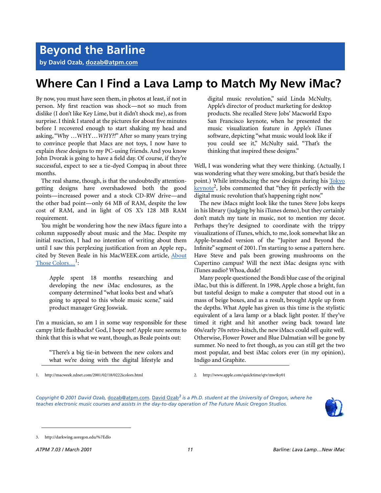**by David Ozab, [dozab@atpm.com](mailto:dozab@atpm.com)**

## **Where Can I Find a Lava Lamp to Match My New iMac?**

By now, you must have seen them, in photos at least, if not in person. My first reaction was shock—not so much from dislike (I don't like Key Lime, but it didn't shock me), as from surprise. I think I stared at the pictures for about five minutes before I recovered enough to start shaking my head and asking, "Why …WHY…*WHY?!*" After so many years trying to convince people that Macs are not toys, I now have to explain *these* designs to my PC-using friends. And you know John Dvorak is going to have a field day. Of course, if they're successful, expect to see a tie-dyed Compaq in about three months.

The real shame, though, is that the undoubtedly attentiongetting designs have overshadowed both the good points—increased power and a stock CD-RW drive—and the other bad point—only 64 MB of RAM, despite the low cost of RAM, and in light of OS X's 128 MB RAM requirement.

You might be wondering how the new iMacs figure into a column supposedly about music and the Mac. Despite my initial reaction, I had no intention of writing about them until I saw this perplexing justification from an Apple rep., cited by Steven Beale in his MacWEEK.com article, [About](http://macweek.zdnet.com/2001/02/18/0222icolors.html) Those Colors...<sup>1</sup>:

Apple spent 18 months researching and developing the new iMac enclosures, as the company determined "what looks best and what's going to appeal to this whole music scene," said product manager Greg Joswiak.

I'm a musician, so am I in some way responsible for these campy little flashbacks? God, I hope not! Apple sure seems to think that this is what we want, though, as Beale points out:

"There's a big tie-in between the new colors and what we're doing with the digital lifestyle and

1. http://macweek.zdnet.com/2001/02/18/0222icolors.html 2. http://www.apple.com/quicktime/qtv/mwtky01

digital music revolution," said Linda McNulty, Apple's director of product marketing for desktop products. She recalled Steve Jobs' Macworld Expo San Francisco keynote, when he presented the music visualization feature in Apple's iTunes software, depicting "what music would look like if you could see it," McNulty said. "That's the thinking that inspired these designs."

Well, I was wondering what they were thinking. (Actually, I was wondering what they were smoking, but that's beside the point.) While introducing the new designs during his [Tokyo](http://www.apple.com/quicktime/qtv/mwtky01) keynote<sup>2</sup>, Jobs commented that "they fit perfectly with the digital music revolution that's happening right now."

The new iMacs might look like the tunes Steve Jobs keeps in his library (judging by his iTunes demo), but they certainly don't match my taste in music, not to mention my decor. Perhaps they're designed to coordinate with the trippy visualizations of iTunes, which, to me, look somewhat like an Apple-branded version of the "Jupiter and Beyond the Infinite" segment of 2001. I'm starting to sense a pattern here. Have Steve and pals been growing mushrooms on the Cupertino campus? Will the next iMac designs sync with iTunes audio? Whoa, dude!

Many people questioned the Bondi blue case of the original iMac, but this is different. In 1998, Apple chose a bright, fun but tasteful design to make a computer that stood out in a mass of beige boxes, and as a result, brought Apple up from the depths. What Apple has given us this time is the stylistic equivalent of a lava lamp or a black light poster. If they've timed it right and hit another swing back toward late 60s/early 70s retro-kitsch, the new iMacs could sell quite well. Otherwise, Flower Power and Blue Dalmatian will be gone by summer. No need to fret though, as you can still get the two most popular, and best iMac colors ever (in my opinion), Indigo and Graphite.

*Copyright © 2001 David Ozab,* [dozab@atpm.com](mailto:dozab@atpm.com)*.* [David Ozab](http://darkwing.uoregon.edu/%7Edlo)*3 is a Ph.D. student at the University of Oregon, where he teaches electronic music courses and assists in the day-to-day operation of The Future Music Oregon Studios.*



<sup>3.</sup> http://darkwing.uoregon.edu/%7Edlo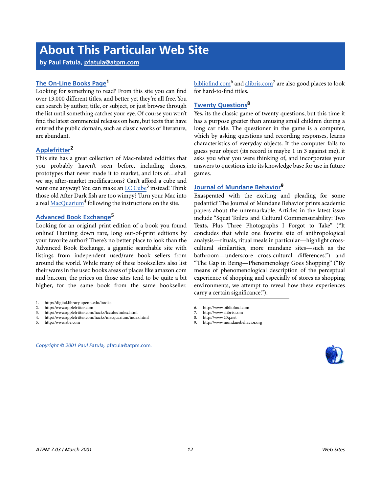## **About This Particular Web Site**

**by Paul Fatula, [pfatula@atpm.com](mailto:pfatula@atpm.com)**

## **[The On-Line Books Page1](http://digital.library.upenn.edu/books)**

Looking for something to read? From this site you can find over 13,000 different titles, and better yet they're all free. You can search by author, title, or subject, or just browse through the list until something catches your eye. Of course you won't find the latest commercial releases on here, but texts that have entered the public domain, such as classic works of literature, are abundant.

## **[Applefritter](http://www.applefritter.com)2**

This site has a great collection of Mac-related oddities that you probably haven't seen before, including clones, prototypes that never made it to market, and lots of…shall we say, after-market modifications? Can't afford a cube and want one anyway? You can make an *LC Cube<sup>3</sup>* instead! Think those old After Dark fish are too wimpy? Turn your Mac into a real [MacQuarium](http://www.applefritter.com/hacks/macquarium/index.html)<sup>4</sup> following the instructions on the site.

## **[Advanced Book Exchange5](http://www.abe.com)**

Looking for an original print edition of a book you found online? Hunting down rare, long out-of-print editions by your favorite author? There's no better place to look than the Advanced Book Exchange, a gigantic searchable site with listings from independent used/rare book sellers from around the world. While many of these booksellers also list their wares in the used books areas of places like amazon.com and bn.com, the prices on those sites tend to be quite a bit higher, for the same book from the same bookseller.

- 3. http://www.applefritter.com/hacks/lccube/index.html
- 4. http://www.applefritter.com/hacks/macquarium/index.html
- 5. http://www.abe.com

*Copyright © 2001 Paul Fatula,* [pfatula@atpm.com](mailto:pfatula@atpm.com)*.*

bibliofind.com<sup>6</sup> and <u>alibris.com</u><sup>7</sup> are also good places to look for hard-to-find titles.

## **[Twenty Questions8](http://www.20q.net)**

Yes, its the classic game of twenty questions, but this time it has a purpose greater than amusing small children during a long car ride. The questioner in the game is a computer, which by asking questions and recording responses, learns characteristics of everyday objects. If the computer fails to guess your object (its record is maybe 1 in 3 against me), it asks you what you were thinking of, and incorporates your answers to questions into its knowledge base for use in future games.

## **[Journal of Mundane Behavior](http://www.mundanebehavior.org)9**

Exasperated with the exciting and pleading for some pedantic? The Journal of Mundane Behavior prints academic papers about the unremarkable. Articles in the latest issue include "Squat Toilets and Cultural Commensurability: Two Texts, Plus Three Photographs I Forgot to Take" ("It concludes that while one favorite site of anthropological analysis—rituals, ritual meals in particular—highlight crosscultural similarities, more mundane sites—such as the bathroom—underscore cross-cultural differences.") and "The Gap in Being—Phenomenology Goes Shopping" ("By means of phenomenological description of the perceptual experience of shopping and especially of stores as shopping environments, we attempt to reveal how these experiences carry a certain significance.").

http://www.mundanebehavior.org



<sup>1.</sup> http://digital.library.upenn.edu/books

<sup>2.</sup> http://www.applefritter.com

<sup>6.</sup> http://www.bibliofind.com

<sup>7.</sup> http://www.alibris.com<br>8. http://www.200 net

http://www.20q.net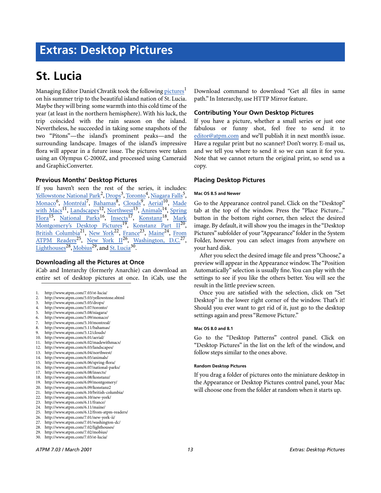## **Extras: Desktop Pictures**

## **St. Lucia**

Managing Editor Daniel Chvatik took the following <u>pictures</u><sup>1</sup> on his summer trip to the beautiful island nation of St. Lucia. Maybe they will bring some warmth into this cold time of the year (at least in the northern hemisphere). With his luck, the trip coincided with the rain season on the island. Nevertheless, he succeeded in taking some snapshots of the two "Pitons"—the island's prominent peaks—and the surrounding landscape. Images of the island's impressive flora will appear in a future issue. The pictures were taken using an Olympus C-2000Z, and processed using Cameraid and GraphicConverter.

## **Previous Months' Desktop Pictures**

If you haven't seen the rest of the series, it includes: <u>[Yellowstone National Park](http://www.atpm.com/5.03/yellowstone.shtml)<sup>2</sup>, [Drops](http://www.atpm.com/5.05/drops/)<sup>3</sup>, [Toronto](http://www.atpm.com/5.07/toronto/)<sup>4</sup>, [Niagara Falls](http://www.atpm.com/5.08/niagara/)<sup>5</sup>,</u> [Monaco](http://www.atpm.com/5.09/monaco/)<sup>6</sup>, <u>[Montréal](http://www.atpm.com/5.10/montreal/)<sup>7</sup>, [Bahamas](http://www.atpm.com/5.11/bahamas/)<sup>8</sup>, [Clouds](http://www.atpm.com/5.12/clouds/)<sup>9</sup>, [Aerial](http://www.atpm.com/6.01/aerial/)<sup>10</sup>, [Made](http://www.atpm.com/6.02/madewithmacs/)</u> [with Macs](http://www.atpm.com/6.02/madewithmacs/)<sup>11</sup>, [Landscapes](http://www.atpm.com/6.03/landscapes/)<sup>12</sup>, [Northwest](http://www.atpm.com/6.04/northwest/)<sup>13</sup>, [Animals](http://www.atpm.com/6.05/animals/)<sup>14</sup>, [Spring](http://www.atpm.com/6.06/spring-flora/) Flora<sup>15</sup>, National Parks<sup>16</sup>, Insects<sup>17</sup>, Konstanz<sup>18</sup>, [Mark](http://www.atpm.com/6.09/montgomery/) [Montgomery's Desktop Pictures](http://www.atpm.com/6.09/montgomery/)<sup>19</sup>, Konstanz Part II<sup>20</sup>, British Columbia<sup>21</sup>, [New York](http://www.atpm.com/6.10/new-york/)<sup>22</sup>, France<sup>23</sup>, [Maine](http://www.atpm.com/6.11/maine/)<sup>24</sup>, [From](http://www.atpm.com/6.12/from-atpm-readers/) [ATPM Readers](http://www.atpm.com/6.12/from-atpm-readers/)<sup>25</sup>, New York  $II^{26}$ , Washington, D.C.<sup>27</sup>, [Lighthouses](http://www.atpm.com/7.02/lighthouses/)<sup>28</sup>, [Mobius](http://www.atpm.com/7.02/mobius/)<sup>29</sup>, and <u>St. Lucia<sup>30</sup></u>.

## **Downloading all the Pictures at Once**

iCab and Interarchy (formerly Anarchie) can download an entire set of desktop pictures at once. In iCab, use the

- 1. http://www.atpm.com/7.03/st-lucia/
- 2. http://www.atpm.com/5.03/yellowstone.shtml
- 3. http://www.atpm.com/5.05/drops/
- 4. http://www.atpm.com/5.07/toronto/
- 5. http://www.atpm.com/5.08/niagara/
- http://www.atpm.com/5.09/monaco/
- 7. http://www.atpm.com/5.10/montreal/
- 8. http://www.atpm.com/5.11/bahamas/ 9. http://www.atpm.com/5.12/clouds/
- 10. http://www.atpm.com/6.01/aerial/
- 11. http://www.atpm.com/6.02/madewithmacs/
- 12. http://www.atpm.com/6.03/landscapes/
- 13. http://www.atpm.com/6.04/northwest/
- 14. http://www.atpm.com/6.05/animals/
- 15. http://www.atpm.com/6.06/spring-flora/
- 16. http://www.atpm.com/6.07/national-parks/
- 17. http://www.atpm.com/6.08/insects/
- 18. http://www.atpm.com/6.08/konstanz/
- 19. http://www.atpm.com/6.09/montgomery/
- 20. http://www.atpm.com/6.09/konstanz2 21. http://www.atpm.com/6.10/british-columbia/
- 22. http://www.atpm.com/6.10/new-york/
- 23. http://www.atpm.com/6.11/france/
- 24. http://www.atpm.com/6.11/maine/
- 25. http://www.atpm.com/6.12/from-atpm-readers/
- 26. http://www.atpm.com/7.01/new-york-ii/
- 27. http://www.atpm.com/7.01/washington-dc/
- 28. http://www.atpm.com/7.02/lighthouses/
- 29. http://www.atpm.com/7.02/mobius/
- 30. http://www.atpm.com/7.03/st-lucia/

Download command to download "Get all files in same path." In Interarchy, use HTTP Mirror feature.

## **Contributing Your Own Desktop Pictures**

If you have a picture, whether a small series or just one fabulous or funny shot, feel free to send it to [editor@atpm.com](mailto:editor@atpm.com) and we'll publish it in next month's issue. Have a regular print but no scanner? Don't worry. E-mail us, and we tell you where to send it so we can scan it for you. Note that we cannot return the original print, so send us a copy.

## **Placing Desktop Pictures**

#### **Mac OS 8.5 and Newer**

Go to the Appearance control panel. Click on the "Desktop" tab at the top of the window. Press the "Place Picture..." button in the bottom right corner, then select the desired image. By default, it will show you the images in the "Desktop Pictures" subfolder of your "Appearance" folder in the System Folder, however you can select images from anywhere on your hard disk.

After you select the desired image file and press "Choose," a preview will appear in the Appearance window. The "Position Automatically" selection is usually fine. You can play with the settings to see if you like the others better. You will see the result in the little preview screen.

Once you are satisfied with the selection, click on "Set Desktop" in the lower right corner of the window. That's it! Should you ever want to get rid of it, just go to the desktop settings again and press "Remove Picture."

#### **Mac OS 8.0 and 8.1**

Go to the "Desktop Patterns" control panel. Click on "Desktop Pictures" in the list on the left of the window, and follow steps similar to the ones above.

#### **Random Desktop Pictures**

If you drag a folder of pictures onto the miniature desktop in the Appearance or Desktop Pictures control panel, your Mac will choose one from the folder at random when it starts up.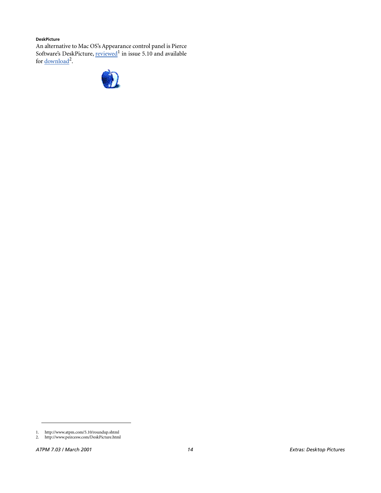#### **DeskPicture**

An alternative to Mac OS's Appearance control panel is Pierce Software's DeskPicture, [reviewed](http://www.atpm.com/5.10/roundup.shtml)<sup>1</sup> in issue 5.10 and available for <u>download</u><sup>2</sup>.



<sup>1.</sup> http://www.atpm.com/5.10/roundup.shtml

<sup>2.</sup> http://www.peircesw.com/DeskPicture.html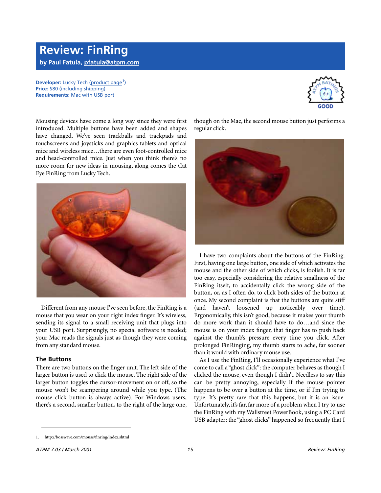## **Review: FinRing by Paul Fatula, [pfatula@atpm.com](mailto:pfatula@atpm.com)**

**Developer:** Lucky Tech [\(product page](http://bosswave.com/mouse/finring/index.shtml)<sup>1</sup>) **Price:** \$80 (including shipping) **Requirements:** Mac with USB port



Mousing devices have come a long way since they were first introduced. Multiple buttons have been added and shapes have changed. We've seen trackballs and trackpads and touchscreens and joysticks and graphics tablets and optical mice and wireless mice…there are even foot-controlled mice and head-controlled mice. Just when you think there's no more room for new ideas in mousing, along comes the Cat Eye FinRing from Lucky Tech.



Different from any mouse I've seen before, the FinRing is a mouse that you wear on your right index finger. It's wireless, sending its signal to a small receiving unit that plugs into your USB port. Surprisingly, no special software is needed; your Mac reads the signals just as though they were coming from any standard mouse.

## **The Buttons**

There are two buttons on the finger unit. The left side of the larger button is used to click the mouse. The right side of the larger button toggles the cursor-movement on or off, so the mouse won't be scampering around while you type. (The mouse click button is always active). For Windows users, there's a second, smaller button, to the right of the large one,

though on the Mac, the second mouse button just performs a regular click.



I have two complaints about the buttons of the FinRing. First, having one large button, one side of which activates the mouse and the other side of which clicks, is foolish. It is far too easy, especially considering the relative smallness of the FinRing itself, to accidentally click the wrong side of the button, or, as I often do, to click both sides of the button at once. My second complaint is that the buttons are quite stiff (and haven't loosened up noticeably over time). Ergonomically, this isn't good, because it makes your thumb do more work than it should have to do…and since the mouse is on your index finger, that finger has to push back against the thumb's pressure every time you click. After prolonged FinRinging, my thumb starts to ache, far sooner than it would with ordinary mouse use.

As I use the FinRing, I'll occasionally experience what I've come to call a "ghost click": the computer behaves as though I clicked the mouse, even though I didn't. Needless to say this can be pretty annoying, especially if the mouse pointer happens to be over a button at the time, or if I'm trying to type. It's pretty rare that this happens, but it is an issue. Unfortunately, it's far, far more of a problem when I try to use the FinRing with my Wallstreet PowerBook, using a PC Card USB adapter: the "ghost clicks" happened so frequently that I

<sup>1.</sup> http://bosswave.com/mouse/finring/index.shtml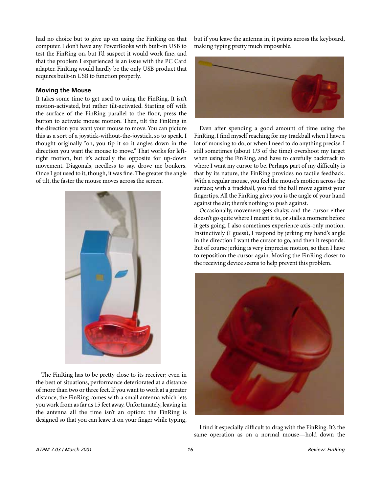had no choice but to give up on using the FinRing on that computer. I don't have any PowerBooks with built-in USB to test the FinRing on, but I'd suspect it would work fine, and that the problem I experienced is an issue with the PC Card adapter. FinRing would hardly be the only USB product that requires built-in USB to function properly.

## **Moving the Mouse**

It takes some time to get used to using the FinRing. It isn't motion-activated, but rather tilt-activated. Starting off with the surface of the FinRing parallel to the floor, press the button to activate mouse motion. Then, tilt the FinRing in the direction you want your mouse to move. You can picture this as a sort of a joystick-without-the-joystick, so to speak. I thought originally "oh, you tip it so it angles down in the direction you want the mouse to move." That works for leftright motion, but it's actually the opposite for up-down movement. Diagonals, needless to say, drove me bonkers. Once I got used to it, though, it was fine. The greater the angle of tilt, the faster the mouse moves across the screen.



The FinRing has to be pretty close to its receiver; even in the best of situations, performance deteriorated at a distance of more than two or three feet. If you want to work at a greater distance, the FinRing comes with a small antenna which lets you work from as far as 15 feet away. Unfortunately, leaving in the antenna all the time isn't an option: the FinRing is designed so that you can leave it on your finger while typing,

but if you leave the antenna in, it points across the keyboard, making typing pretty much impossible.



Even after spending a good amount of time using the FinRing, I find myself reaching for my trackball when I have a lot of mousing to do, or when I need to do anything precise. I still sometimes (about 1/3 of the time) overshoot my target when using the FinRing, and have to carefully backtrack to where I want my cursor to be. Perhaps part of my difficulty is that by its nature, the FinRing provides no tactile feedback. With a regular mouse, you feel the mouse's motion across the surface; with a trackball, you feel the ball move against your fingertips. All the FinRing gives you is the angle of your hand against the air; there's nothing to push against.

Occasionally, movement gets shaky, and the cursor either doesn't go quite where I meant it to, or stalls a moment before it gets going. I also sometimes experience axis-only motion. Instinctively (I guess), I respond by jerking my hand's angle in the direction I want the cursor to go, and then it responds. But of course jerking is very imprecise motion, so then I have to reposition the cursor again. Moving the FinRing closer to the receiving device seems to help prevent this problem.



I find it especially difficult to drag with the FinRing. It's the same operation as on a normal mouse—hold down the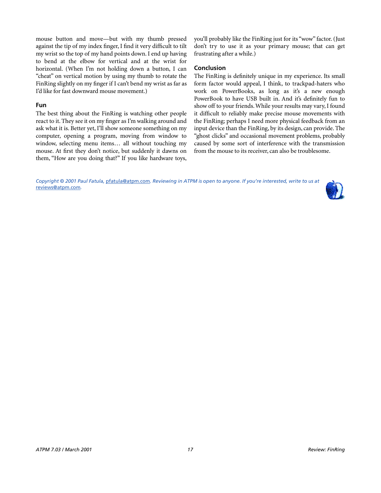mouse button and move—but with my thumb pressed against the tip of my index finger, I find it very difficult to tilt my wrist so the top of my hand points down. I end up having to bend at the elbow for vertical and at the wrist for horizontal. (When I'm not holding down a button, I can "cheat" on vertical motion by using my thumb to rotate the FinRing slightly on my finger if I can't bend my wrist as far as I'd like for fast downward mouse movement.)

## **Fun**

The best thing about the FinRing is watching other people react to it. They see it on my finger as I'm walking around and ask what it is. Better yet, I'll show someone something on my computer, opening a program, moving from window to window, selecting menu items… all without touching my mouse. At first they don't notice, but suddenly it dawns on them, "How are you doing that?" If you like hardware toys,

you'll probably like the FinRing just for its "wow" factor. (Just don't try to use it as your primary mouse; that can get frustrating after a while.)

## **Conclusion**

The FinRing is definitely unique in my experience. Its small form factor would appeal, I think, to trackpad-haters who work on PowerBooks, as long as it's a new enough PowerBook to have USB built in. And it's definitely fun to show off to your friends. While your results may vary, I found it difficult to reliably make precise mouse movements with the FinRing; perhaps I need more physical feedback from an input device than the FinRing, by its design, can provide. The "ghost clicks" and occasional movement problems, probably caused by some sort of interference with the transmission from the mouse to its receiver, can also be troublesome.

*Copyright © 2001 Paul Fatula,* [pfatula@atpm.com](mailto:pfatula@atpm.com)*. Reviewing in ATPM is open to anyone. If you're interested, write to us at*  [reviews@atpm.com](mailto:reviews@atpm.com)*.*

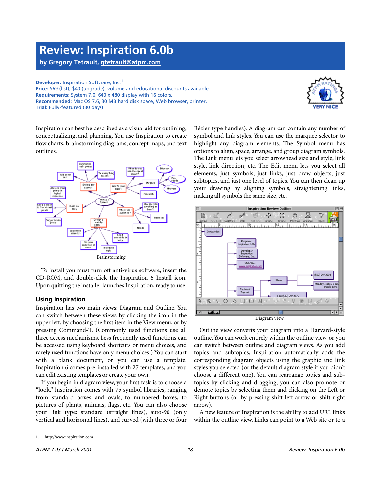## **Review: Inspiration 6.0b**

**by Gregory Tetrault, [gtetrault@atpm.com](mailto:gtetrault@atpm.com)**

**Developer: [Inspiration Software, Inc.](http://www.inspiration.com)<sup>1</sup> Price:** \$69 (list); \$40 (upgrade); volume and educational discounts available. **Requirements:** System 7.0, 640 x 480 display with 16 colors. **Recommended:** Mac OS 7.6, 30 MB hard disk space, Web browser, printer. **Trial:** Fully-featured (30 days)



Inspiration can best be described as a visual aid for outlining, conceptualizing, and planning. You use Inspiration to create flow charts, brainstorming diagrams, concept maps, and text outlines.



To install you must turn off anti-virus software, insert the CD-ROM, and double-click the Inspiration 6 Install icon. Upon quitting the installer launches Inspiration, ready to use.

## **Using Inspiration**

Inspiration has two main views: Diagram and Outline. You can switch between these views by clicking the icon in the upper left, by choosing the first item in the View menu, or by pressing Command-T. (Commonly used functions use all three access mechanisms. Less frequently used functions can be accessed using keyboard shortcuts or menu choices, and rarely used functions have only menu choices.) You can start with a blank document, or you can use a template. Inspiration 6 comes pre-installed with 27 templates, and you can edit existing templates or create your own.

If you begin in diagram view, your first task is to choose a "look." Inspiration comes with 75 symbol libraries, ranging from standard boxes and ovals, to numbered boxes, to pictures of plants, animals, flags, etc. You can also choose your link type: standard (straight lines), auto-90 (only vertical and horizontal lines), and curved (with three or four

Bézier-type handles). A diagram can contain any number of symbol and link styles. You can use the marquee selector to highlight any diagram elements. The Symbol menu has options to align, space, arrange, and group diagram symbols. The Link menu lets you select arrowhead size and style, link style, link direction, etc. The Edit menu lets you select all elements, just symbols, just links, just draw objects, just subtopics, and just one level of topics. You can then clean up your drawing by aligning symbols, straightening links, making all symbols the same size, etc.



Outline view converts your diagram into a Harvard-style outline. You can work entirely within the outline view, or you can switch between outline and diagram views. As you add topics and subtopics, Inspiration automatically adds the corresponding diagram objects using the graphic and link styles you selected (or the default diagram style if you didn't choose a different one). You can rearrange topics and subtopics by clicking and dragging; you can also promote or demote topics by selecting them and clicking on the Left or Right buttons (or by pressing shift-left arrow or shift-right arrow).

A new feature of Inspiration is the ability to add URL links within the outline view. Links can point to a Web site or to a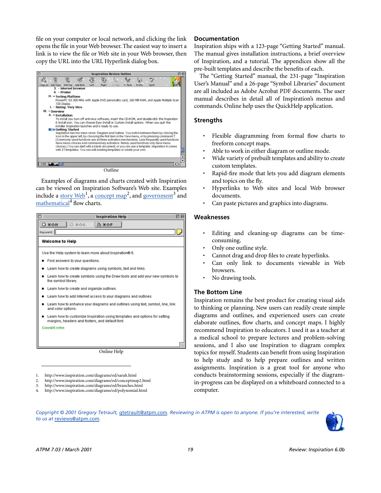file on your computer or local network, and clicking the link opens the file in your Web browser. The easiest way to insert a link is to view the file or Web site in your Web browser, then copy the URL into the URL Hyperlink dialog box.



Examples of diagrams and charts created with Inspiration can be viewed on Inspiration Software's Web site. Examples

include a [story Web](http://www.inspiration.com/diagrams/ed/sarah.html)<sup>1</sup>, a [concept map](http://www.inspiration.com/diagrams/ed/conceptmap2.html)<sup>2</sup>, and [government](http://www.inspiration.com/diagrams/ed/branches.html)<sup>3</sup> and [mathematical](http://www.inspiration.com/diagrams/ed/polynomial.html)<sup>4</sup> flow charts.

| <b>Inspiration Help</b>                                                                                                       | 回目 |  |  |  |
|-------------------------------------------------------------------------------------------------------------------------------|----|--|--|--|
| <b>日 米心日</b><br><b>图 % 企 G</b><br>$B$ $*$ $\alpha$ P                                                                          |    |  |  |  |
| Keyword:                                                                                                                      |    |  |  |  |
| <b>Welcome to Help</b>                                                                                                        |    |  |  |  |
| Use the Help system to learn more about Inspiration® 6.                                                                       |    |  |  |  |
| Find answers to your questions.                                                                                               |    |  |  |  |
| Learn how to create diagrams using symbols, text and links.                                                                   |    |  |  |  |
| Learn how to create symbols using the Draw tools and add your new symbols to<br>the symbol library.                           |    |  |  |  |
| Learn how to create and organize outlines.                                                                                    |    |  |  |  |
| Learn how to add internet access to your diagrams and outlines                                                                |    |  |  |  |
| Learn how to enhance your diagrams and outlines using text, symbol, line, link<br>and color options.                          |    |  |  |  |
| Learn how to customize Inspiration using templates and options for setting<br>margins, headers and footers, and default font. |    |  |  |  |
| Copyright notice                                                                                                              |    |  |  |  |
|                                                                                                                               |    |  |  |  |
|                                                                                                                               |    |  |  |  |
| Online Help                                                                                                                   |    |  |  |  |
|                                                                                                                               |    |  |  |  |
|                                                                                                                               |    |  |  |  |

- 1. http://www.inspiration.com/diagrams/ed/sarah.html
- 2. http://www.inspiration.com/diagrams/ed/conceptmap2.html
- 3. http://www.inspiration.com/diagrams/ed/branches.html 4. http://www.inspiration.com/diagrams/ed/polynomial.html

## **Documentation**

Inspiration ships with a 123-page "Getting Started" manual. The manual gives installation instructions, a brief overview of Inspiration, and a tutorial. The appendices show all the pre-built templates and describe the benefits of each.

The "Getting Started" manual, the 231-page "Inspiration User's Manual" and a 26-page "Symbol Libraries" document are all included as Adobe Acrobat PDF documents. The user manual describes in detail all of Inspiration's menus and commands. Online help uses the QuickHelp application.

## **Strengths**

- Flexible diagramming from formal flow charts to freeform concept maps.
- Able to work in either diagram or outline mode.
- Wide variety of prebuilt templates and ability to create custom templates.
- Rapid-fire mode that lets you add diagram elements and topics on the fly.
- Hyperlinks to Web sites and local Web browser documents.
- Can paste pictures and graphics into diagrams.

## **Weaknesses**

- Editing and cleaning-up diagrams can be timeconsuming.
- Only one outline style.
- Cannot drag and drop files to create hyperlinks.
- Can only link to documents viewable in Web browsers.
- No drawing tools.

## **The Bottom Line**

Inspiration remains the best product for creating visual aids to thinking or planning. New users can readily create simple diagrams and outlines, and experienced users can create elaborate outlines, flow charts, and concept maps. I highly recommend Inspiration to educators. I used it as a teacher at a medical school to prepare lectures and problem-solving sessions, and I also use Inspiration to diagram complex topics for myself. Students can benefit from using Inspiration to help study and to help prepare outlines and written assignments. Inspiration is a great tool for anyone who conducts brainstorming sessions, especially if the diagramin-progress can be displayed on a whiteboard connected to a computer.

*Copyright © 2001 Gregory Tetrault,* [gtetrault@atpm.com](mailto:gtetrault@atpm.com)*. Reviewing in ATPM is open to anyone. If you're interested, write to us at* [reviews@atpm.com](mailto:reviews@atpm.com)*.*

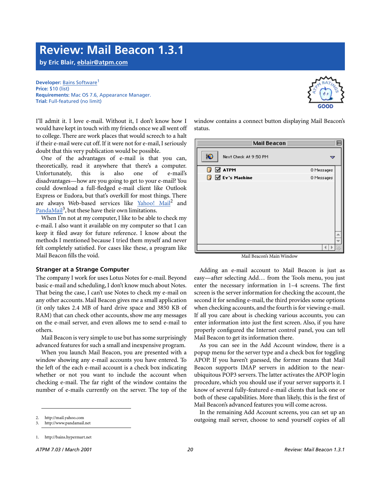## **Review: Mail Beacon 1.3.1**

**by Eric Blair, [eblair@atpm.com](mailto:eblair@atpm.com)**

#### **Developer: [Bains Software](http://bains.hypermart.net)<sup>1</sup> Price:** \$10 (list) **Requirements:** Mac OS 7.6, Appearance Manager. **Trial:** Full-featured (no limit)

I'll admit it. I love e-mail. Without it, I don't know how I would have kept in touch with my friends once we all went off to college. There are work places that would screech to a halt if their e-mail were cut off. If it were not for e-mail, I seriously doubt that this very publication would be possible.

One of the advantages of e-mail is that you can, theoretically, read it anywhere that there's a computer. Unfortunately, this is also one of e-mail's disadvantages—how are you going to get to your e-mail? You could download a full-fledged e-mail client like Outlook Express or Eudora, but that's overkill for most things. There are always Web-based services like [Yahoo! Mail](http://mail.yahoo.com)<sup>2</sup> and [PandaMail](http://www.pandamail.net)<sup>3</sup>, but these have their own limitations.

When I'm not at my computer, I like to be able to check my e-mail. I also want it available on my computer so that I can keep it filed away for future reference. I know about the methods I mentioned because I tried them myself and never felt completely satisfied. For cases like these, a program like Mail Beacon fills the void.

## **Stranger at a Strange Computer**

The company I work for uses Lotus Notes for e-mail. Beyond basic e-mail and scheduling, I don't know much about Notes. That being the case, I can't use Notes to check my e-mail on any other accounts. Mail Beacon gives me a small application (it only takes 2.4 MB of hard drive space and 3850 KB of RAM) that can check other accounts, show me any messages on the e-mail server, and even allows me to send e-mail to others.

Mail Beacon is very simple to use but has some surprisingly advanced features for such a small and inexpensive program.

When you launch Mail Beacon, you are presented with a window showing any e-mail accounts you have entered. To the left of the each e-mail account is a check box indicating whether or not you want to include the account when checking e-mail. The far right of the window contains the number of e-mails currently on the server. The top of the



window contains a connect button displaying Mail Beacon's status.

| Mail Beacon ≣                  |            |  |
|--------------------------------|------------|--|
| ¦€<br>Next Check At 9:50 PM    |            |  |
| $\mathbb{F}$ $\mathbb{Z}$ atpm | 0 Messages |  |
| $\sqrt{3}$ Ev's Machine        | 0 Messages |  |
|                                |            |  |
|                                |            |  |
|                                |            |  |
|                                |            |  |

Mail Beacon's Main Window

Adding an e-mail account to Mail Beacon is just as easy—after selecting Add… from the Tools menu, you just enter the necessary information in 1–4 screens. The first screen is the server information for checking the account, the second it for sending e-mail, the third provides some options when checking accounts, and the fourth is for viewing e-mail. If all you care about is checking various accounts, you can enter information into just the first screen. Also, if you have properly configured the Internet control panel, you can tell Mail Beacon to get its information there.

As you can see in the Add Account window, there is a popup menu for the server type and a check box for toggling APOP. If you haven't guessed, the former means that Mail Beacon supports IMAP servers in addition to the nearubiquitous POP3 servers. The latter activates the APOP login procedure, which you should use if your server supports it. I know of several fully-featured e-mail clients that lack one or both of these capabilities. More than likely, this is the first of Mail Beacon's advanced features you will come across.

In the remaining Add Account screens, you can set up an outgoing mail server, choose to send yourself copies of all

<sup>2.</sup> http://mail.yahoo.com

<sup>3.</sup> http://www.pandamail.net

<sup>1.</sup> http://bains.hypermart.net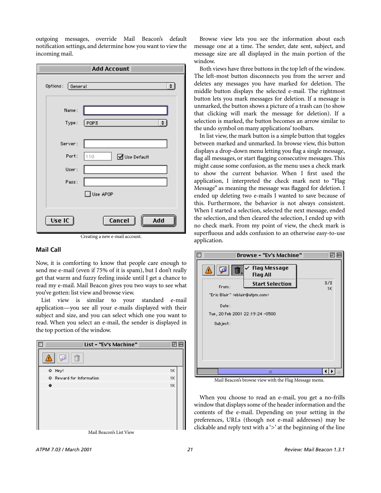outgoing messages, override Mail Beacon's default notification settings, and determine how you want to view the incoming mail.

| Add Account                         |  |  |  |  |
|-------------------------------------|--|--|--|--|
| $\div$<br>Options:<br>General       |  |  |  |  |
| Name:                               |  |  |  |  |
| POP3<br>÷<br>Type:                  |  |  |  |  |
| Server:                             |  |  |  |  |
| Port:<br>110<br>■Use Default        |  |  |  |  |
| User:                               |  |  |  |  |
| Pass:                               |  |  |  |  |
| $\overline{\mathsf{J}}$ Use APOP    |  |  |  |  |
|                                     |  |  |  |  |
| Use IC $\parallel$<br>Cancel<br>Add |  |  |  |  |

Creating a new e-mail account.

## **Mail Call**

Now, it is comforting to know that people care enough to send me e-mail (even if 75% of it is spam), but I don't really get that warm and fuzzy feeling inside until I get a chance to read my e-mail. Mail Beacon gives you two ways to see what you've gotten: list view and browse view.

List view is similar to your standard e-mail application—you see all your e-mails displayed with their subject and size, and you can select which one you want to read. When you select an e-mail, the sender is displayed in the top portion of the window.

|   | List - "Ev's Machine"                                                                                                                                                                                                                                                                                                                                                              | ш  |
|---|------------------------------------------------------------------------------------------------------------------------------------------------------------------------------------------------------------------------------------------------------------------------------------------------------------------------------------------------------------------------------------|----|
|   | Ĥ<br>5                                                                                                                                                                                                                                                                                                                                                                             |    |
|   | · Hey!                                                                                                                                                                                                                                                                                                                                                                             | 1K |
|   | Reward for Information                                                                                                                                                                                                                                                                                                                                                             | 1K |
| ≏ |                                                                                                                                                                                                                                                                                                                                                                                    | 1K |
|   |                                                                                                                                                                                                                                                                                                                                                                                    |    |
|   |                                                                                                                                                                                                                                                                                                                                                                                    |    |
|   |                                                                                                                                                                                                                                                                                                                                                                                    |    |
|   |                                                                                                                                                                                                                                                                                                                                                                                    |    |
|   |                                                                                                                                                                                                                                                                                                                                                                                    |    |
|   | $M_{\odot}$ : $\overline{M}$ $\overline{M}$ $\overline{M}$ $\overline{M}$ $\overline{M}$ $\overline{M}$ $\overline{M}$ $\overline{M}$ $\overline{M}$ $\overline{M}$ $\overline{M}$ $\overline{M}$ $\overline{M}$ $\overline{M}$ $\overline{M}$ $\overline{M}$ $\overline{M}$ $\overline{M}$ $\overline{M}$ $\overline{M}$ $\overline{M}$ $\overline{M}$ $\overline{M}$ $\overline$ |    |

Mail Beacon's List View

Browse view lets you see the information about each message one at a time. The sender, date sent, subject, and message size are all displayed in the main portion of the window.

Both views have three buttons in the top left of the window. The left-most button disconnects you from the server and deletes any messages you have marked for deletion. The middle button displays the selected e-mail. The rightmost button lets you mark messages for deletion. If a message is unmarked, the button shows a picture of a trash can (to show that clicking will mark the message for deletion). If a selection is marked, the button becomes an arrow similar to the undo symbol on many applications' toolbars.

In list view, the mark button is a simple button that toggles between marked and unmarked. In browse view, this button displays a drop-down menu letting you flag a single message, flag all messages, or start flagging consecutive messages. This might cause some confusion, as the menu uses a check mark to show the current behavior. When I first used the application, I interpreted the check mark next to "Flag Message" as meaning the message was flagged for deletion. I ended up deleting two e-mails I wanted to save because of this. Furthermore, the behavior is not always consistent. When I started a selection, selected the next message, ended the selection, and then cleared the selection, I ended up with no check mark. From my point of view, the check mark is superfluous and adds confusion to an otherwise easy-to-use application.

|                                 | <b>Browse - "Ev's Machine"</b>         |           |
|---------------------------------|----------------------------------------|-----------|
| اتوتا<br>而<br>Δ                 | <b>Flag Message</b><br><b>Flag All</b> |           |
| From:                           | <b>Start Selection</b>                 | 3/3<br>1K |
| "Enic Blain" Keblain@atpm.com>  |                                        |           |
| Date:                           |                                        |           |
| Tue, 20 Feb 2001 22:19:24 -0500 |                                        |           |
| Subject:                        |                                        |           |
|                                 |                                        |           |
|                                 |                                        |           |
|                                 |                                        |           |
|                                 |                                        |           |
|                                 | Ш                                      |           |
|                                 |                                        |           |

Mail Beacon's browse view with the Flag Message menu.

When you choose to read an e-mail, you get a no-frills window that displays some of the header information and the contents of the e-mail. Depending on your setting in the preferences, URLs (though not e-mail addresses) may be clickable and reply text with a  $\geq$  at the beginning of the line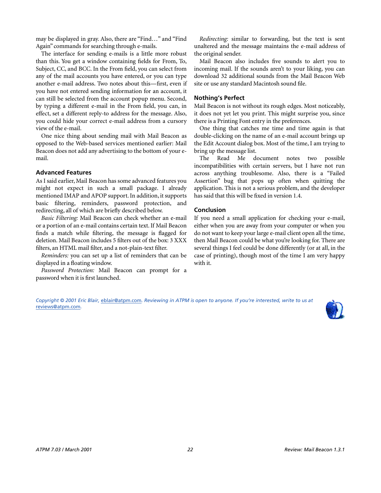may be displayed in gray. Also, there are "Find…" and "Find Again" commands for searching through e-mails.

The interface for sending e-mails is a little more robust than this. You get a window containing fields for From, To, Subject, CC, and BCC. In the From field, you can select from any of the mail accounts you have entered, or you can type another e-mail address. Two notes about this—first, even if you have not entered sending information for an account, it can still be selected from the account popup menu. Second, by typing a different e-mail in the From field, you can, in effect, set a different reply-to address for the message. Also, you could hide your correct e-mail address from a cursory view of the e-mail.

One nice thing about sending mail with Mail Beacon as opposed to the Web-based services mentioned earlier: Mail Beacon does not add any advertising to the bottom of your email.

## **Advanced Features**

As I said earlier, Mail Beacon has some advanced features you might not expect in such a small package. I already mentioned IMAP and APOP support. In addition, it supports basic filtering, reminders, password protection, and redirecting, all of which are briefly described below.

*Basic Filtering:* Mail Beacon can check whether an e-mail or a portion of an e-mail contains certain text. If Mail Beacon finds a match while filtering, the message is flagged for deletion. Mail Beacon includes 5 filters out of the box: 3 XXX filters, an HTML mail filter, and a not-plain-text filter.

*Reminders:* you can set up a list of reminders that can be displayed in a floating window.

*Password Protection:* Mail Beacon can prompt for a password when it is first launched.

*Redirecting:* similar to forwarding, but the text is sent unaltered and the message maintains the e-mail address of the original sender.

Mail Beacon also includes five sounds to alert you to incoming mail. If the sounds aren't to your liking, you can download 32 additional sounds from the Mail Beacon Web site or use any standard Macintosh sound file.

## **Nothing's Perfect**

Mail Beacon is not without its rough edges. Most noticeably, it does not yet let you print. This might surprise you, since there is a Printing Font entry in the preferences.

One thing that catches me time and time again is that double-clicking on the name of an e-mail account brings up the Edit Account dialog box. Most of the time, I am trying to bring up the message list.

The Read Me document notes two possible incompatibilities with certain servers, but I have not run across anything troublesome. Also, there is a "Failed Assertion" bug that pops up often when quitting the application. This is not a serious problem, and the developer has said that this will be fixed in version 1.4.

## **Conclusion**

If you need a small application for checking your e-mail, either when you are away from your computer or when you do not want to keep your large e-mail client open all the time, then Mail Beacon could be what you're looking for. There are several things I feel could be done differently (or at all, in the case of printing), though most of the time I am very happy with it.

*Copyright © 2001 Eric Blair,* [eblair@atpm.com](mailto:eblair@atpm.com)*. Reviewing in ATPM is open to anyone. If you're interested, write to us at*  [reviews@atpm.com](mailto:reviews@atpm.com)*.*

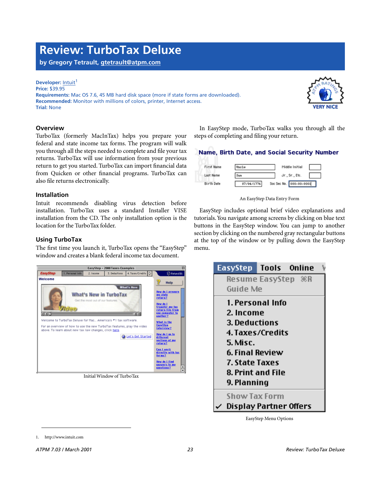## **Review: TurboTax Deluxe**

**by Gregory Tetrault, [gtetrault@atpm.com](mailto:gtetrault@atpm.com)**

#### **Developer: [Intuit](http://www.intuit.com)<sup>1</sup>**

**Price:** \$39.95 **Requirements:** Mac OS 7.6, 45 MB hard disk space (more if state forms are downloaded). **Recommended:** Monitor with millions of colors, printer, Internet access. **Trial:** None



### **Overview**

TurboTax (formerly MacInTax) helps you prepare your federal and state income tax forms. The program will walk you through all the steps needed to complete and file your tax returns. TurboTax will use information from your previous return to get you started. TurboTax can import financial data from Quicken or other financial programs. TurboTax can also file returns electronically.

#### **Installation**

Intuit recommends disabling virus detection before installation. TurboTax uses a standard Installer VISE installation from the CD. The only installation option is the location for the TurboTax folder.

## **Using TurboTax**

The first time you launch it, TurboTax opens the "EasyStep" window and creates a blank federal income tax document.



Initial Window of TurboTax

In EasyStep mode, TurboTax walks you through all the steps of completing and filing your return.

## Name, Birth Date, and Social Security Number



An EasyStep Data Entry Form

EasyStep includes optional brief video explanations and tutorials. You navigate among screens by clicking on blue text buttons in the EasyStep window. You can jump to another section by clicking on the numbered gray rectangular buttons at the top of the window or by pulling down the EasyStep menu.



EasyStep Menu Options

<sup>1.</sup> http://www.intuit.com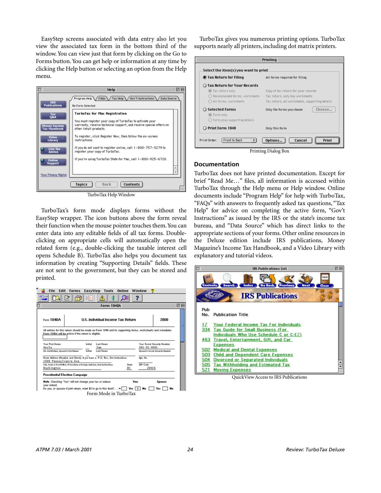EasyStep screens associated with data entry also let you view the associated tax form in the bottom third of the window. You can view just that form by clicking on the Go to Forms button. You can get help or information at any time by clicking the Help button or selecting an option from the Help menu.



TurboTax Help Window

TurboTax's form mode displays forms without the EasyStep wrapper. The icon buttons above the form reveal their function when the mouse pointer touches them. You can enter data into any editable fields of all tax forms. Doubleclicking on appropriate cells will automatically open the related form (e.g., double-clicking the taxable interest cell opens Schedule B). TurboTax also helps you document tax information by creating "Supporting Details" fields. These are not sent to the government, but they can be stored and printed.

|                                                                            |         | <b>Form 1040A</b>                                                                                           |             |                   |                                        |
|----------------------------------------------------------------------------|---------|-------------------------------------------------------------------------------------------------------------|-------------|-------------------|----------------------------------------|
| Form 1040A                                                                 |         | U.S. Individual Income Tax Return                                                                           |             |                   | 2000                                   |
| Form 1040A will be active if the return is eligible.                       |         | All entries for this return should be made on Form 1040 and its supporting forms, worksheets and schedules. |             |                   |                                        |
| <b>Your First Name</b><br>Uncle                                            | Initial | Last Name<br>San                                                                                            |             | $001 - 01 - 0001$ | Your Social Security Number            |
| Ifa JointReturn, Spouse's FirstName                                        | Initial | Last Name                                                                                                   |             |                   | <b>Boogse's Bocial Becurity Number</b> |
| 1600 Pennsylvania Ave                                                      |         | Home Aldress (Number and Street). If you have a P.O. Box, See Instructions.                                 |             | Apt. No.          |                                        |
| City, Toun or PostOffice. If You Have a Foreign Address, Dee Instructions. |         |                                                                                                             | State<br>DC | 2IP Code<br>20016 |                                        |
| Washington                                                                 |         |                                                                                                             |             |                   |                                        |

TurboTax gives you numerous printing options. TurboTax supports nearly all printers, including dot matrix printers.

| ● Tax Return for Filing                 | All forms required for filing                  |  |  |  |
|-----------------------------------------|------------------------------------------------|--|--|--|
| ◯ Tax Return for Your Records           |                                                |  |  |  |
| Tax return only                         | Copy of tax return for your records            |  |  |  |
| ◯ Recommended forms, worksheets         | Tax return, only key worksheets                |  |  |  |
| All forms, worksheets                   | Tax return, all worksheets, supporting details |  |  |  |
| ○ Selected Forms                        | Choose<br>Only the forms you choose            |  |  |  |
| <b>E</b> Form only                      |                                                |  |  |  |
| $\bigcirc$ Form plus supporting details |                                                |  |  |  |
| O Print Form 1040                       | Only this form                                 |  |  |  |

#### **Documentation**

TurboTax does not have printed documentation. Except for brief "Read Me…" files, all information is accessed within TurboTax through the Help menu or Help window. Online documents include "Program Help" for help with TurboTax, "FAQs" with answers to frequently asked tax questions, "Tax Help" for advice on completing the active form, "Gov't Instructions" as issued by the IRS or the state's income tax bureau, and "Data Source" which has direct links to the appropriate sections of your forms. Other online resources in the Deluxe edition include IRS publications, Money Magazine's Income Tax Handbook, and a Video Library with explanatory and tutorial videos.



QuickView Access to IRS Publications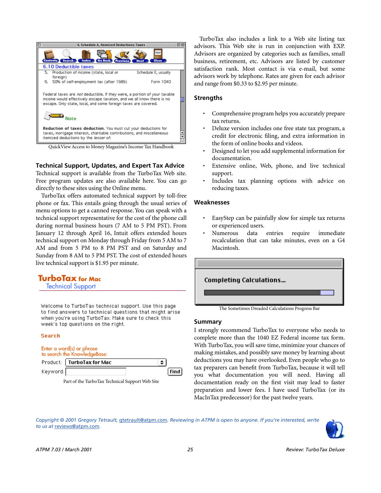

QuickView Access to Money Magazine's Income Tax Handbook

**Technical Support, Updates, and Expert Tax Advice**

Technical support is available from the TurboTax Web site. Free program updates are also available here. You can go directly to these sites using the Online menu.

TurboTax offers automated technical support by toll-free phone or fax. This entails going through the usual series of menu options to get a canned response. You can speak with a technical support representative for the cost of the phone call during normal business hours (7 AM to 5 PM PST). From January 12 through April 16, Intuit offers extended hours technical support on Monday through Friday from 5 AM to 7 AM and from 5 PM to 8 PM PST and on Saturday and Sunday from 8 AM to 5 PM PST. The cost of extended hours live technical support is \$1.95 per minute.

## **TurboTax for Mac**

**Technical Support** 

Welcome to TurboTax technical support. Use this page to find answers to technical questions that might arise when you're using TurboTax. Make sure to check this week's top questions on the right.

#### **Search**

#### Enter a word(s) or phrase to search the KnowledgeBase:

|           | Product:   TurboTax for Mac |      |
|-----------|-----------------------------|------|
| Keyword:∥ |                             | Find |

Part of the TurboTax Technical Support Web Site

TurboTax also includes a link to a Web site listing tax advisors. This Web site is run in conjunction with EXP. Advisors are organized by categories such as families, small business, retirement, etc. Advisors are listed by customer satisfaction rank. Most contact is via e-mail, but some advisors work by telephone. Rates are given for each advisor and range from \$0.33 to \$2.95 per minute.

## **Strengths**

- Comprehensive program helps you accurately prepare tax returns.
- Deluxe version includes one free state tax program, a credit for electronic filing, and extra information in the form of online books and videos.
- Designed to let you add supplemental information for documentation.
- Extensive online, Web, phone, and live technical support.
- Includes tax planning options with advice on reducing taxes.

#### **Weaknesses**

- EasyStep can be painfully slow for simple tax returns or experienced users.
- Numerous data entries require immediate recalculation that can take minutes, even on a G4 Macintosh.



The Sometimes Dreaded Calculations Progress Bar

#### **Summary**

I strongly recommend TurboTax to everyone who needs to complete more than the 1040 EZ Federal income tax form. With TurboTax, you will save time, minimize your chances of making mistakes, and possibly save money by learning about deductions you may have overlooked. Even people who go to tax preparers can benefit from TurboTax, because it will tell you what documentation you will need. Having all documentation ready on the first visit may lead to faster preparation and lower fees. I have used TurboTax (or its MacInTax predecessor) for the past twelve years.

*Copyright © 2001 Gregory Tetrault,* [gtetrault@atpm.com](mailto:gtetrault@atpm.com)*. Reviewing in ATPM is open to anyone. If you're interested, write to us at* [reviews@atpm.com](mailto:reviews@atpm.com)*.*

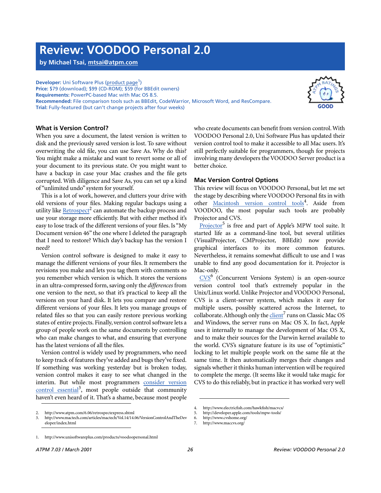## **Review: VOODOO Personal 2.0**

**by Michael Tsai, [mtsai@atpm.com](mailto:mtsai@atpm.com)**

**Developer:** Uni Software Plus [\(product page](http://www.unisoftwareplus.com/products/voodoopersonal.html)<sup>1</sup>) **Price:** \$79 (download); \$99 (CD-ROM); \$59 (for BBEdit owners) **Requirements:** PowerPC-based Mac with Mac OS 8.5. **Recommended:** File comparison tools such as BBEdit, CodeWarrior, Microsoft Word, and ResCompare. **Trial:** Fully-featured (but can't change projects after four weeks)



## **What is Version Control?**

When you save a document, the latest version is written to disk and the previously saved version is lost. To save without overwriting the old file, you can use Save As. Why do this? You might make a mistake and want to revert some or all of your document to its previous state. Or you might want to have a backup in case your Mac crashes and the file gets corrupted. With diligence and Save As, you can set up a kind of "unlimited undo" system for yourself.

This is a lot of work, however, and clutters your drive with old versions of your files. Making regular backups using a utility like [Retrospect](http://www.atpm.com/6.06/retrospectexpress.shtml)<sup>2</sup> can automate the backup process and use your storage more efficiently. But with either method it's easy to lose track of the different versions of your files. Is "My Document version 46" the one where I deleted the paragraph that I need to restore? Which day's backup has the version I need?

Version control software is designed to make it easy to manage the different versions of your files. It remembers the revisions you make and lets you tag them with comments so you remember which version is which. It stores the versions in an ultra-compressed form, saving only the *differences* from one version to the next, so that it's practical to keep all the versions on your hard disk. It lets you compare and restore different versions of your files. It lets you manage groups of related files so that you can easily restore previous working states of entire projects. Finally, version control software lets a group of people work on the same documents by controlling who can make changes to what, and ensuring that everyone has the latest versions of all the files.

Version control is widely used by programmers, who need to keep track of features they've added and bugs they've fixed. If something was working yesterday but is broken today, version control makes it easy to see what changed in the interim. But while most programmers [consider version](http://www.mactech.com/articles/mactech/Vol.14/14.06/VersionControlAndTheDeveloper/index.html) [control essential](http://www.mactech.com/articles/mactech/Vol.14/14.06/VersionControlAndTheDeveloper/index.html)<sup>3</sup>, most people outside that community haven't even heard of it. That's a shame, because most people

who create documents can benefit from version control. With VOODOO Personal 2.0, Uni Software Plus has updated their version control tool to make it accessible to all Mac users. It's still perfectly suitable for programmers, though for projects involving many developers the VOODOO Server product is a better choice.

## **Mac Version Control Options**

This review will focus on VOODOO Personal, but let me set the stage by describing where VOODOO Personal fits in with other [Macintosh version control tools](http://www.electricfish.com/hawkfish/macvcs/)<sup>4</sup>. Aside from VOODOO, the most popular such tools are probably Projector and CVS.

[Projector](http://developer.apple.com/tools/mpw-tools/)<sup>5</sup> is free and part of Apple's MPW tool suite. It started life as a command-line tool, but several utilities (VisualProjector, CMProjector, BBEdit) now provide graphical interfaces to its more common features. Nevertheless, it remains somewhat difficult to use and I was unable to find any good documentation for it. Projector is Mac-only.

CVS<sup>6</sup> (Concurrent Versions System) is an open-source version control tool that's extremely popular in the Unix/Linux world. Unlike Projector and VOODOO Personal, CVS is a client-server system, which makes it easy for multiple users, possibly scattered across the Internet, to collaborate. Although only the *client<sup>7</sup>* runs on Classic Mac OS and Windows, the server runs on Mac OS X. In fact, Apple uses it internally to manage the development of Mac OS X, and to make their sources for the Darwin kernel available to the world. CVS's signature feature is its use of "optimistic" locking to let multiple people work on the same file at the same time. It then automatically merges their changes and signals whether it thinks human intervention will be required to complete the merge. (It seems like it would take magic for CVS to do this reliably, but in practice it has worked very well

<sup>2.</sup> http://www.atpm.com/6.06/retrospectexpress.shtml

<sup>3.</sup> http://www.mactech.com/articles/mactech/Vol.14/14.06/VersionControlAndTheDev eloper/index.html

<sup>4.</sup> http://www.electricfish.com/hawkfish/macvcs/

<sup>5.</sup> http://developer.apple.com/tools/mpw-tools/

<sup>6.</sup> http://www.cvshome.org/<br>7. http://www.maccvs.org/

http://www.maccvs.org/

<sup>1.</sup> http://www.unisoftwareplus.com/products/voodoopersonal.html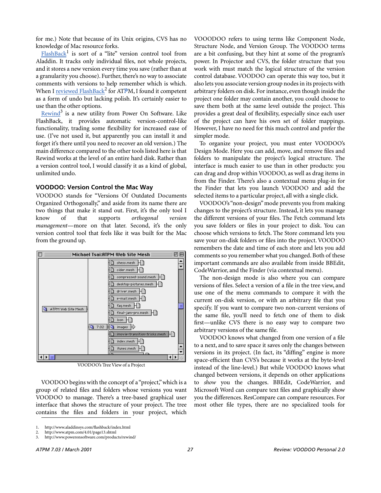for me.) Note that because of its Unix origins, CVS has no knowledge of Mac resource forks.

[FlashBack](http://www.aladdinsys.com/flashback/index.html)<sup>1</sup> is sort of a "lite" version control tool from Aladdin. It tracks only individual files, not whole projects, and it stores a new version every time you save (rather than at a granularity you choose). Further, there's no way to associate comments with versions to help remember which is which. When I [reviewed FlashBack](http://www.atpm.com/4.01/page13.shtml)<sup>2</sup> for ATPM, I found it competent as a form of undo but lacking polish. It's certainly easier to use than the other options.

Rewind<sup>3</sup> is a new utility from Power On Software. Like FlashBack, it provides automatic version-control-like functionality, trading some flexibility for increased ease of use. (I've not used it, but apparently you can install it and forget it's there until you need to recover an old version.) The main difference compared to the other tools listed here is that Rewind works at the level of an entire hard disk. Rather than a version control tool, I would classify it as a kind of global, unlimited undo.

## **VOODOO: Version Control the Mac Way**

VOODOO stands for "Versions Of Outdated Documents Organized Orthogonally," and aside from its name there are two things that make it stand out. First, it's the only tool I know of that supports *orthogonal version management*—more on that later. Second, it's the only version control tool that feels like it was built for the Mac from the ground up.



VOODOO's Tree View of a Project

VOODOO begins with the concept of a "project," which is a group of related files and folders whose versions you want VOODOO to manage. There's a tree-based graphical user interface that shows the structure of your project. The tree contains the files and folders in your project, which

VOOODOO refers to using terms like Component Node, Structure Node, and Version Group. The VOODOO terms are a bit confusing, but they hint at some of the program's power. In Projector and CVS, the folder structure that you work with must match the logical structure of the version control database. VOODOO can operate this way too, but it also lets you associate version group nodes in its projects with arbitrary folders on disk. For instance, even though inside the project one folder may contain another, you could choose to save them both at the same level outside the project. This provides a great deal of flexibility, especially since each user of the project can have his own set of folder mappings. However, I have no need for this much control and prefer the simpler mode.

To organize your project, you must enter VOODOO's Design Mode. Here you can add, move, and remove files and folders to manipulate the project's logical structure. The interface is much easier to use than in other products: you can drag and drop within VOODOO, as well as drag items in from the Finder. There's also a contextual menu plug-in for the Finder that lets you launch VOODOO and add the selected items to a particular project, all with a single click.

VOODOO's "non-design" mode prevents you from making changes to the project's structure. Instead, it lets you manage the different versions of your files. The Fetch command lets you save folders or files in your project to disk. You can choose which versions to fetch. The Store command lets you save your on-disk folders or files into the project. VOODOO remembers the date and time of each store and lets you add comments so you remember what you changed. Both of these important commands are also available from inside BBEdit, CodeWarrior, and the Finder (via contextual menu).

The non-design mode is also where you can compare versions of files. Select a version of a file in the tree view, and use one of the menu commands to compare it with the current on-disk version, or with an arbitrary file that you specify. If you want to compare two non-current versions of the same file, you'll need to fetch one of them to disk first—unlike CVS there is no easy way to compare two arbitrary versions of the same file.

VOODOO knows what changed from one version of a file to a next, and to save space it saves only the changes between versions in its project. (In fact, its "diffing" engine is more space-efficient than CVS's because it works at the byte-level instead of the line-level.) But while VOODOO knows what changed between versions, it depends on other applications to *show* you the changes. BBEdit, CodeWarrior, and Microsoft Word can compare text files and graphically show you the differences. ResCompare can compare resources. For most other file types, there are no specialized tools for

<sup>1.</sup> http://www.aladdinsys.com/flashback/index.html

<sup>2.</sup> http://www.atpm.com/4.01/page13.shtml

<sup>3.</sup> http://www.poweronsoftware.com/products/rewind/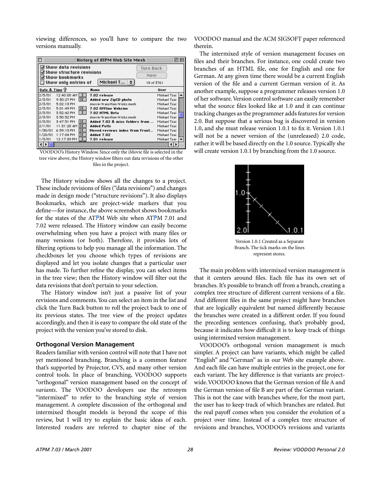viewing differences, so you'll have to compare the two versions manually.

| History of ATPM Web Site Mesh<br>回                                                                                                                                                       |                                       |                                |              |  |
|------------------------------------------------------------------------------------------------------------------------------------------------------------------------------------------|---------------------------------------|--------------------------------|--------------|--|
| ⊠ Show data revisions<br><b>Turn Back</b><br>☑ Show structure revisions<br>Now<br>⊠ Show bookmarks<br>Michael T $\left  \right $ $\uparrow$<br>$\Box$ Show only entries of<br>18 of 3761 |                                       |                                |              |  |
| Date & Time 1                                                                                                                                                                            |                                       | <b>Name</b>                    | <b>User</b>  |  |
| 2/5/01                                                                                                                                                                                   | 12:40:00 AM                           | 7.02 release                   | Michael Tsai |  |
| 2/3/01                                                                                                                                                                                   | $\overline{\mathbf{s}}$<br>9:30:27 PM | Added new ZipCD photo          | Michael Tsai |  |
| 2/3/01                                                                                                                                                                                   | 5:02:13 PM                            | imovie-transition-tricks.mesh  | Michael Tsai |  |
| 2/3/01                                                                                                                                                                                   | ßІ<br>5:01:49 PM                      | 7.02 Offline Webzine           | Michael Tsai |  |
| 2/3/01                                                                                                                                                                                   | 3:52:42 PM                            | 7.02 HTML Beta                 | Michael Tsai |  |
| 2/3/01                                                                                                                                                                                   | 3:50:52 PM                            | imovie-transition-tricks.mesh  | Michael Tsai |  |
| 2/3/01                                                                                                                                                                                   | ßI<br>3:47:51 PM                      | Added 7.02 & misc folders from | Michael Tsai |  |
| 2/1/01                                                                                                                                                                                   | 11:31:20 AM S                         | <b>Added Polls</b>             | Michael Tsai |  |
| 1/30/01                                                                                                                                                                                  | ß<br>6:59:13 PM                       | Moved reviews index from Front | Michael Tsai |  |
| 1/20/01                                                                                                                                                                                  | s<br>1:17:04 PM                       | Added 7.02                     | Michael Tsai |  |
| 1/3/01                                                                                                                                                                                   | 12:17:39 PM                           | 7.01 release                   | Michael Tsai |  |
|                                                                                                                                                                                          |                                       |                                |              |  |

VOODOO's History Window. Since only the iMovie file is selected in the tree view above, the History window filters out data revisions of the other files in the project.

The History window shows all the changes to a project. These include revisions of files ("data revisions") and changes made in design mode ("structure revisions"). It also displays Bookmarks, which are project-wide markers that you define—for instance, the above screenshot shows bookmarks for the states of the ATPM Web site when ATPM 7.01 and 7.02 were released. The History window can easily become overwhelming when you have a project with many files or many versions (or both). Therefore, it provides lots of filtering options to help you manage all the information. The checkboxes let you choose which types of revisions are displayed and let you isolate changes that a particular user has made. To further refine the display, you can select items in the tree view; then the History window will filter out the data revisions that don't pertain to your selection.

The History window isn't just a passive list of your revisions and comments. You can select an item in the list and click the Turn Back button to roll the project back to one of its previous states. The tree view of the project updates accordingly, and then it is easy to compare the old state of the project with the version you've stored to disk.

#### **Orthogonal Version Management**

Readers familiar with version control will note that I have not yet mentioned branching. Branching is a common feature that's supported by Projector, CVS, and many other version control tools. In place of branching, VOODOO supports "orthogonal" version management based on the concept of *variants*. The VOODOO developers use the retronym "intermixed" to refer to the branching style of version management. A complete discussion of the orthogonal and intermixed thought models is beyond the scope of this review, but I will try to explain the basic ideas of each. Interested readers are referred to chapter nine of the

VOODOO manual and the ACM SIGSOFT paper referenced therein.

The intermixed style of version management focuses on files and their branches. For instance, one could create two branches of an HTML file, one for English and one for German. At any given time there would be a current English version of the file and a current German version of it. As another example, suppose a programmer releases version 1.0 of her software. Version control software can easily remember what the source files looked like at 1.0 and it can continue tracking changes as the programmer adds features for version 2.0. But suppose that a serious bug is discovered in version 1.0, and she must release version 1.0.1 to fix it. Version 1.0.1 will not be a newer version of the (unreleased) 2.0 code, rather it will be based directly on the 1.0 source. Typically she will create version 1.0.1 by branching from the 1.0 source.



Version 1.0.1 Created as a Separate Branch. The tick marks on the lines represent stores.

The main problem with intermixed version management is that it centers around files. Each file has its own set of branches. It's possible to branch off from a branch, creating a complex tree structure of different current versions of a file. And different files in the same project might have branches that are logically equivalent but named differently because the branches were created in a different order. If you found the preceding sentences confusing, that's probably good, because it indicates how difficult it is to keep track of things using intermixed version management.

VOODOO's orthogonal version management is much simpler. A project can have variants, which might be called "English" and "German" as in our Web site example above. And each file can have multiple entries in the project, one for each variant. The key difference is that variants are projectwide. VOODOO knows that the German version of file A and the German version of file B are part of the German variant. This is not the case with branches where, for the most part, the user has to keep track of which branches are related. But the real payoff comes when you consider the evolution of a project over time. Instead of a complex tree structure of revisions and branches, VOODOO's revisions and variants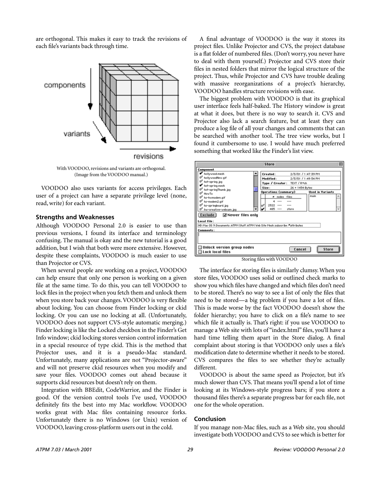are orthogonal. This makes it easy to track the revisions of each file's variants back through time.



With VOODOO, revisions and variants are orthogonal. (Image from the VOODOO manual.)

VOODOO also uses variants for access privileges. Each user of a project can have a separate privilege level (none, read, write) for each variant.

## **Strengths and Weaknesses**

Although VOODOO Personal 2.0 is easier to use than previous versions, I found its interface and terminology confusing. The manual is okay and the new tutorial is a good addition, but I wish that both were more extensive. However, despite these complaints, VOODOO is much easier to use than Projector or CVS.

When several people are working on a project, VOODOO can help ensure that only one person is working on a given file at the same time. To do this, you can tell VOODOO to lock files in the project when you fetch them and unlock them when you store back your changes. VOODOO is very flexible about locking. You can choose from Finder locking or ckid locking. Or you can use no locking at all. (Unfortunately, VOODOO does not support CVS-style automatic merging.) Finder locking is like the Locked checkbox in the Finder's Get Info window; ckid locking stores version control information in a special resource of type ckid. This is the method that Projector uses, and it is a pseudo-Mac standard. Unfortunately, many applications are not "Projector-aware" and will not preserve ckid resources when you modify and save your files. VOODOO comes out ahead because it supports ckid resources but doesn't rely on them.

Integration with BBEdit, CodeWarrior, and the Finder is good. Of the version control tools I've used, VOODOO definitely fits the best into my Mac workflow. VOODOO works great with Mac files containing resource forks. Unfortunately there is no Windows (or Unix) version of VOODOO, leaving cross-platform users out in the cold.

A final advantage of VOODOO is the way it stores its project files. Unlike Projector and CVS, the project database is a flat folder of numbered files. (Don't worry, you never have to deal with them yourself.) Projector and CVS store their files in nested folders that mirror the logical structure of the project. Thus, while Projector and CVS have trouble dealing with massive reorganizations of a project's hierarchy, VOODOO handles structure revisions with ease.

The biggest problem with VOODOO is that its graphical user interface feels half-baked. The History window is great at what it does, but there is no way to search it. CVS and Projector also lack a search feature, but at least they can produce a log file of all your changes and comments that can be searched with another tool. The tree view works, but I found it cumbersome to use. I would have much preferred something that worked like the Finder's list view.



Storing files with VOODOO

The interface for storing files is similarly clumsy. When you store files, VOODOO uses solid or outlined check marks to show you which files have changed and which files don't need to be stored. There's no way to see a list of only the files that need to be stored—a big problem if you have a lot of files. This is made worse by the fact VOODOO doesn't show the folder hierarchy; you have to click on a file's name to see which file it actually is. That's right: if you use VOODOO to manage a Web site with lots of "index.html" files, you'll have a hard time telling them apart in the Store dialog. A final complaint about storing is that VOODOO only uses a file's modification date to determine whether it needs to be stored. CVS compares the files to see whether they're actually different.

VOODOO is about the same speed as Projector, but it's much slower than CVS. That means you'll spend a lot of time looking at its Windows-style progress bars; if you store a thousand files there's a separate progress bar for each file, not one for the whole operation.

## **Conclusion**

If you manage non-Mac files, such as a Web site, you should investigate both VOODOO and CVS to see which is better for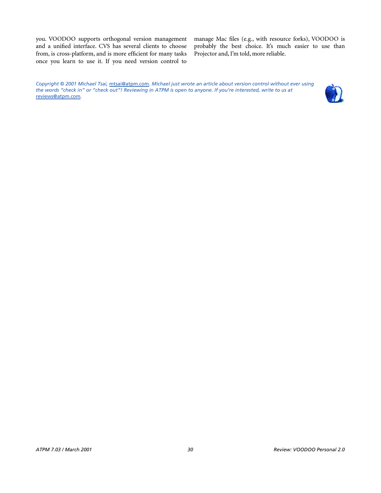you. VOODOO supports orthogonal version management and a unified interface. CVS has several clients to choose from, is cross-platform, and is more efficient for many tasks once you learn to use it. If you need version control to

manage Mac files (e.g., with resource forks), VOODOO is probably the best choice. It's much easier to use than Projector and, I'm told, more reliable.

*Copyright © 2001 Michael Tsai,* [mtsai@atpm.com](mailto:mtsai@atpm.com)*. Michael just wrote an article about version control without ever using the words "check in" or "check out"! Reviewing in ATPM is open to anyone. If you're interested, write to us at*  [reviews@atpm.com](mailto:reviews@atpm.com)*.*

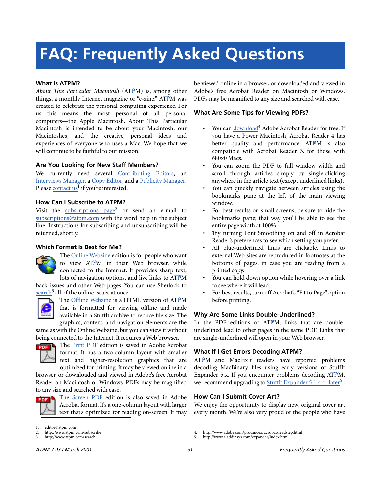# **FAQ: Frequently Asked Questions**

## **What Is ATPM?**

*About This Particular Macintosh* (ATPM) is, among other things, a monthly Internet magazine or "e-zine." ATPM was created to celebrate the personal computing experience. For us this means the most personal of all personal computers—the Apple Macintosh. About This Particular Macintosh is intended to be about your Macintosh, our Macintoshes, and the creative, personal ideas and experiences of everyone who uses a Mac. We hope that we will continue to be faithful to our mission.

### **Are You Looking for New Staff Members?**

We currently need several Contributing Editors, an Interviews Manager, a Copy Editor, and a Publicity Manager. Please [contact us](mailto:editor@atpm.com)<sup>1</sup> if you're interested.

## **How Can I Subscribe to ATPM?**

Visit the [subscriptions page](http://www.atpm.com/subscribe)<sup>2</sup> or send an e-mail to [subscriptions@atpm.com](mailto:subscriptions@atpm.com) with the word help in the subject line. Instructions for subscribing and unsubscribing will be returned, shortly.

#### **Which Format Is Best for Me?**



The Online Webzine edition is for people who want to view ATPM in their Web browser, while connected to the Internet. It provides sharp text, lots of navigation options, and live links to ATPM

back issues and other Web pages. You can use Sherlock to  $\frac{\text{search}^3}{\text{all}}$  $\frac{\text{search}^3}{\text{all}}$  $\frac{\text{search}^3}{\text{all}}$  all of the online issues at once.



The Offline Webzine is a HTML version of ATPM that is formatted for viewing offline and made available in a StuffIt archive to reduce file size. The graphics, content, and navigation elements are the

same as with the Online Webzine, but you can view it without being connected to the Internet. It requires a Web browser.



The Print PDF edition is saved in Adobe Acrobat format. It has a two-column layout with smaller text and higher-resolution graphics that are optimized for printing. It may be viewed online in a

browser, or downloaded and viewed in Adobe's free Acrobat Reader on Macintosh or Windows. PDFs may be magnified to any size and searched with ease.



The Screen PDF edition is also saved in Adobe Acrobat format. It's a one-column layout with larger text that's optimized for reading on-screen. It may be viewed online in a browser, or downloaded and viewed in Adobe's free Acrobat Reader on Macintosh or Windows. PDFs may be magnified to any size and searched with ease.

## **What Are Some Tips for Viewing PDFs?**

- You can [download](http://www.adobe.com/prodindex/acrobat/readstep.html)<sup>4</sup> Adobe Acrobat Reader for free. If you have a Power Macintosh, Acrobat Reader 4 has better quality and performance. ATPM is also compatible with Acrobat Reader 3, for those with 680x0 Macs.
- You can zoom the PDF to full window width and scroll through articles simply by single-clicking anywhere in the article text (except underlined links).
- You can quickly navigate between articles using the bookmarks pane at the left of the main viewing window.
- For best results on small screens, be sure to hide the bookmarks pane; that way you'll be able to see the entire page width at 100%.
- Try turning Font Smoothing on and off in Acrobat Reader's preferences to see which setting you prefer.
- All blue-underlined links are clickable. Links to external Web sites are reproduced in footnotes at the bottoms of pages, in case you are reading from a printed copy.
- You can hold down option while hovering over a link to see where it will lead.
- For best results, turn off Acrobat's "Fit to Page" option before printing.

#### **Why Are Some Links Double-Underlined?**

In the PDF editions of ATPM, links that are doubleunderlined lead to other pages in the same PDF. Links that are single-underlined will open in your Web browser.

## **What If I Get Errors Decoding ATPM?**

4. http://www.adobe.com/prodindex/acrobat/readstep.html 5. http://www.aladdinsys.com/expander/index.html

ATPM and MacFixIt readers have reported problems decoding MacBinary files using early versions of StuffIt Expander 5.x. If you encounter problems decoding ATPM, we recommend upgrading to **StuffIt Expander 5.1.4** or later<sup>5</sup>.

## **How Can I Submit Cover Art?**

We enjoy the opportunity to display new, original cover art every month. We're also very proud of the people who have

editor@atpm.com

<sup>2.</sup> http://www.atpm.com/subscribe<br>3. http://www.atpm.com/search

http://www.atpm.com/search

*ATPM 7.03 / March 2001 31 Frequently Asked Questions*